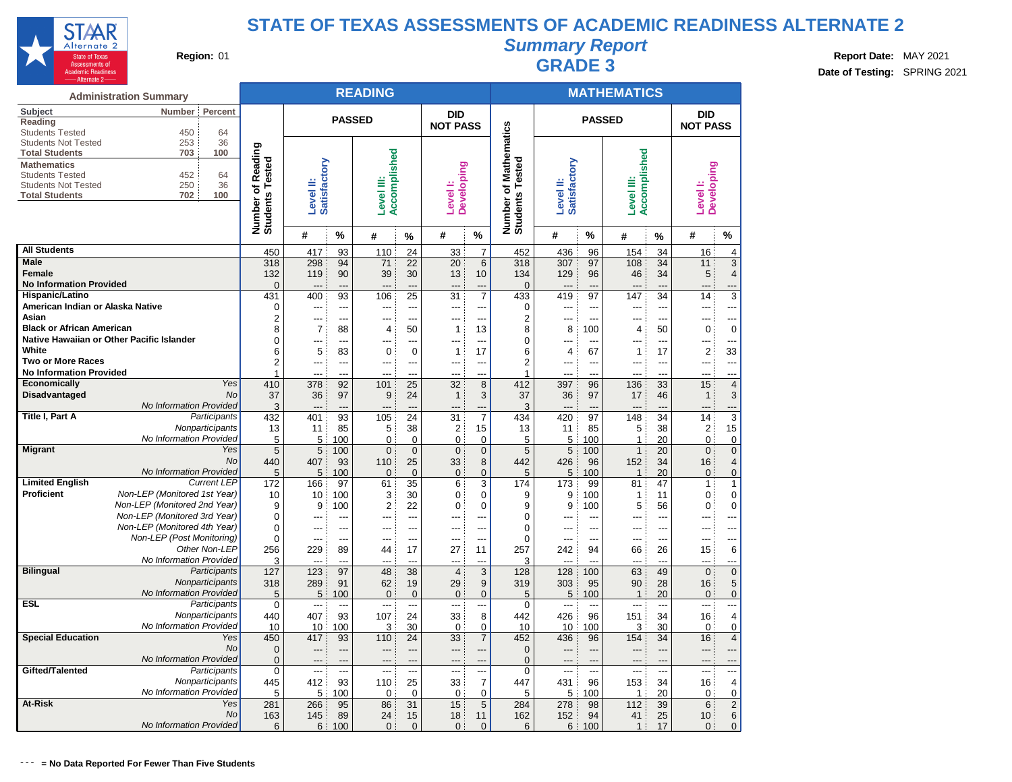

# **Summary Report**

**Region:** 01 **Region:** 01 **Region:** 01 **Report Date:** MAY 2021 **Region:** 01 **Report Date:** MAY 2021 **Date of Testing:** SPRING 2021

|                                                      | <b>Administration Summary</b>                             |                                               |                           |                      | <b>READING</b>             |                               |                          |                            |                                    |                |                | <b>MATHEMATICS</b>           |                |                                 |                         |
|------------------------------------------------------|-----------------------------------------------------------|-----------------------------------------------|---------------------------|----------------------|----------------------------|-------------------------------|--------------------------|----------------------------|------------------------------------|----------------|----------------|------------------------------|----------------|---------------------------------|-------------------------|
| Subject<br>Reading                                   | Percent<br><b>Number</b>                                  |                                               |                           | <b>PASSED</b>        |                            |                               | <b>DID</b>               |                            |                                    |                | <b>PASSED</b>  |                              |                | <b>DID</b>                      |                         |
| <b>Students Tested</b><br><b>Students Not Tested</b> | 450<br>64<br>36<br>253                                    |                                               |                           |                      |                            |                               | <b>NOT PASS</b>          |                            | <b>Mathematics</b>                 |                |                |                              |                | <b>NOT PASS</b>                 |                         |
| <b>Total Students</b><br><b>Mathematics</b>          | 703<br>100                                                | Reading<br>Number of Readi<br>Students Tested |                           |                      | Accomplished               |                               |                          |                            | Number of Mathe<br>Students Tested |                |                | Accomplished                 |                |                                 |                         |
| <b>Students Tested</b><br><b>Students Not Tested</b> | 452<br>64<br>250<br>36                                    |                                               | Satisfactory<br>Level II: |                      |                            |                               | <b>Developing</b>        |                            |                                    | Satisfactory   |                |                              |                | <b>Developing</b>               |                         |
| <b>Total Students</b>                                | 702<br>100                                                |                                               |                           |                      | Level III:                 |                               | Level I:                 |                            |                                    | Level II:      |                | Level III:                   |                | Level <sup>1</sup> :            |                         |
|                                                      |                                                           |                                               |                           |                      |                            |                               |                          |                            |                                    |                |                |                              |                |                                 |                         |
|                                                      |                                                           |                                               | #                         | %                    | #                          | %                             | #                        | %                          |                                    | #              | $\%$           | #                            | %              | #                               | %                       |
| <b>All Students</b>                                  |                                                           | 450                                           | 417                       | 93                   | 110                        | 24                            | 33                       | $\overline{7}$             | 452                                | 436            | 96             | 154                          | 34             | 16                              | 4                       |
| <b>Male</b><br><b>Female</b>                         |                                                           | 318<br>132                                    | 298                       | 94<br>90             | 71<br>39                   | 22<br>30                      | 20<br>13                 | $6\phantom{1}$<br>10       | 318<br>134                         | 307<br>129     | 97<br>96       | 108<br>46                    | 34<br>34       | 11<br>5                         | 3<br>4                  |
| <b>No Information Provided</b>                       |                                                           | 0                                             | 119<br>---                | ---                  | ---                        | ---                           | $\overline{\phantom{a}}$ | ---                        | $\Omega$                           | $---$          | ---            | $\overline{a}$               | ---            | $---$                           | ---                     |
| Hispanic/Latino                                      |                                                           | 431                                           | 400                       | 93                   | 106                        | 25                            | 31                       | $\overline{7}$             | 433                                | 419            | 97             | 147                          | 34             | 14                              | 3                       |
| American Indian or Alaska Native                     |                                                           | $\mathbf 0$                                   | ---                       | ---                  | $\overline{a}$             | ---                           | ---                      | ---                        | 0                                  | ---            | ---            | ---                          | ---            | ---                             | ---                     |
| Asian                                                |                                                           | $\overline{2}$                                | ---                       | ---                  | ---                        | ---                           | $\overline{a}$           | ---                        | 2                                  | ---            | ---            | $---$                        | ---            | ---                             | ---                     |
| <b>Black or African American</b>                     |                                                           | 8                                             | 7                         | 88                   | 4                          | 50                            | 1                        | 13                         | 8                                  | 8              | 100            | 4                            | 50             | 0                               | $\mathbf 0$             |
|                                                      | Native Hawaiian or Other Pacific Islander                 | $\overline{0}$                                | ---                       | ---                  | ---                        | ---                           | ---                      | ---                        | $\Omega$                           |                | ---            |                              | ---            |                                 | ---                     |
| White<br><b>Two or More Races</b>                    |                                                           | 6<br>$\overline{2}$                           | 5<br>---                  | 83<br>$\overline{a}$ | $\mathbf 0$<br>---         | $\mathbf 0$<br>$\overline{a}$ | $\mathbf{1}$<br>---      | 17<br>$\overline{a}$       | 6<br>$\overline{2}$                | 4<br>---       | 67<br>---      | $\mathbf{1}$<br>---          | 17<br>---      | $\overline{2}$<br>$---$         | 33<br>---               |
| <b>No Information Provided</b>                       |                                                           | 1                                             | ---                       | $\overline{a}$       | ---                        | ---                           | $---$                    | ---                        | $\mathbf{1}$                       |                | $\overline{a}$ | $\overline{a}$               | ---            | ---                             | ---                     |
| Economically                                         | Yes                                                       | 410                                           | 378                       | 92                   | 101                        | 25                            | 32                       | 8                          | 412                                | 397            | 96             | 136                          | 33             | 15                              | $\overline{\mathbf{4}}$ |
| Disadvantaged                                        | <b>No</b>                                                 | 37                                            | 36                        | 97                   | 9                          | 24                            | $\mathbf{1}$             | 3                          | 37                                 | 36             | 97             | 17                           | 46             | 1                               | 3                       |
|                                                      | No Information Provided                                   | 3                                             | ---                       | $---$                | ---                        | ---                           | $---$                    | ---                        | 3                                  | $---$          | ---            | $\overline{\phantom{a}}$     | ---            | $---$                           | ---                     |
| Title I, Part A                                      | Participants                                              | 432                                           | 401                       | 93                   | 105                        | 24                            | 31                       | $\overline{7}$             | 434                                | 420            | 97             | 148                          | 34             | 14                              | $\overline{3}$          |
|                                                      | Nonparticipants                                           | 13                                            | 11                        | 85                   | 5                          | 38                            | $\overline{2}$           | 15                         | 13                                 | 11             | 85             | 5                            | 38             | $\overline{2}$                  | 15                      |
| <b>Migrant</b>                                       | No Information Provided<br>Yes                            | 5<br>5                                        | 5<br>5                    | 100<br>100           | $\mathbf 0$<br>$\mathbf 0$ | $\mathbf 0$<br>$\mathbf 0$    | 0<br>$\overline{0}$      | $\mathbf 0$<br>$\mathbf 0$ | 5<br>5                             | 5<br>5         | 100<br>100     | $\mathbf{1}$<br>$\mathbf{1}$ | 20<br>20       | 0<br>0                          | 0<br>$\overline{0}$     |
|                                                      | No                                                        | 440                                           | 407                       | 93                   | 110                        | 25                            | 33                       | 8                          | 442                                | 426            | 96             | 152                          | 34             | 16                              | 4                       |
|                                                      | No Information Provided                                   | 5                                             | 5                         | 100                  | $\Omega$                   | $\mathbf 0$                   | $\mathbf 0$              | $\overline{0}$             | 5                                  | 5              | 100            | $\mathbf{1}$                 | 20             | $\Omega$                        | $\overline{0}$          |
| <b>Limited English</b>                               | <b>Current LEP</b>                                        | 172                                           | 166                       | 97                   | 61                         | 35                            | 6                        | 3                          | 174                                | 173            | 99             | 81                           | 47             | 1                               | $\mathbf{1}$            |
| Proficient                                           | Non-LEP (Monitored 1st Year)                              | 10                                            | 10                        | 100                  | 3                          | 30                            | 0                        | $\mathbf 0$                | 9                                  | 9              | 100            | 1                            | 11             | 0                               | 0                       |
|                                                      | Non-LEP (Monitored 2nd Year)                              | 9                                             | 9                         | 100                  | 2                          | 22                            | 0                        | 0                          | 9                                  | 9              | 100            | 5                            | 56             | 0                               | $\overline{0}$          |
|                                                      | Non-LEP (Monitored 3rd Year)                              | 0                                             | ---                       | ---                  | ---                        | ---                           | ---                      | ---                        | $\Omega$                           |                | ---            | $---$                        | ---            |                                 | ---                     |
|                                                      | Non-LEP (Monitored 4th Year)<br>Non-LEP (Post Monitoring) | 0                                             | $---$                     | $\overline{a}$       | ---                        | $---$                         | $\overline{a}$           | ---                        | 0                                  |                | ---            | $---$                        | ---            | $---$                           | ---                     |
|                                                      | Other Non-LEP                                             | 0<br>256                                      | ---<br>229                | $\overline{a}$<br>89 | ---<br>44                  | $\overline{a}$<br>17          | $\overline{a}$<br>27     | $\overline{a}$<br>11       | 0<br>257                           | $---$<br>242   | ---<br>94      | $---$<br>66                  | ---<br>26      | $---$<br>15                     | ---<br>6                |
|                                                      | No Information Provided                                   | 3                                             | $\overline{a}$            | $\overline{a}$       | ---                        | $\overline{a}$                | $---$                    | ---                        | 3                                  | $---$          | ---            | $---$                        | ---            | $\overline{a}$                  | ---                     |
| <b>Bilingual</b>                                     | Participants                                              | 127                                           | 123                       | 97                   | 48                         | 38                            | $\overline{4}$           | 3                          | 128                                | 128            | 100            | 63                           | 49             | $\mathbf{0}$                    | $\mathbf 0$             |
|                                                      | Nonparticipants                                           | 318                                           | 289                       | 91                   | 62                         | 19                            | 29                       | 9                          | 319                                | 303            | 95             | 90                           | 28             | 16                              | 5                       |
|                                                      | No Information Provided                                   | 5                                             | 5                         | 100                  | $\mathbf{0}$               | $\overline{0}$                | $\mathbf{0}$             | $\mathbf{0}$               | 5                                  | 5 <sup>3</sup> | 100            | $\mathbf{1}$                 | 20             | $\mathbf{0}$                    | $\overline{0}$          |
| <b>ESL</b>                                           | Participants                                              | $\mathbf 0$                                   | ---                       | ---                  | ---                        | ---                           | $\overline{a}$           | ---                        | 0                                  | ---            | ---            | ---                          | ---            | ---                             | ---                     |
|                                                      | Nonparticipants<br>No Information Provided                | 440                                           | 407<br>10                 | 93                   | 107<br>3                   | 24                            | 33<br>$\Omega$           | 8<br>$\Omega$              | 442<br>10                          | 426<br>10      | 96<br>100      | 151                          | 34             | 16<br>$\Omega$                  | 4<br>$\Omega$           |
| <b>Special Education</b>                             | Yes                                                       | 10<br>450                                     | 417                       | 100<br>93            | 110                        | 30<br>24                      | 33                       | $\overline{7}$             | 452                                | 436            | 96             | 3<br>154                     | 30<br>34       | 16                              | 4                       |
|                                                      | No                                                        | $\overline{0}$                                | ---                       | ---                  | ---                        | ---                           | ---                      | ---                        | $\overline{0}$                     | ---            | ---            | $---$                        | ---            | ---                             | ---                     |
|                                                      | No Information Provided                                   | $\mathbf 0$                                   | ---                       | $\overline{a}$       | ---                        | ÷-                            | $\overline{\phantom{a}}$ | ---                        | $\overline{0}$                     | $---$          | $\overline{a}$ | $---$                        | ---            | $---$                           | ---                     |
| Gifted/Talented                                      | Participants                                              | $\mathbf 0$                                   | $\overline{\phantom{a}}$  | $\overline{a}$       | $\overline{\phantom{a}}$   | ---                           | $\overline{a}$           | ---                        | $\Omega$                           | $---$          | $\overline{a}$ | $\qquad \qquad -\qquad$      | $\overline{a}$ | ---                             | ---                     |
|                                                      | Nonparticipants                                           | 445                                           | 412                       | 93                   | 110                        | 25                            | 33                       | $\overline{7}$             | 447                                | 431            | 96             | 153                          | 34             | 16                              | 4                       |
|                                                      | No Information Provided                                   | 5                                             | 5                         | 100                  | $\mathbf 0$                | 0                             | 0                        | 0                          | 5                                  | 5              | 100            | 1                            | 20             | 0                               | 0                       |
| At-Risk                                              | Yes                                                       | 281                                           | 266                       | 95                   | 86                         | 31                            | 15                       | 5                          | 284                                | 278            | 98             | 112                          | 39             | 6                               | $\overline{2}$          |
|                                                      | No<br>No Information Provided                             | 163<br>6                                      | 145<br>6                  | 89<br>100            | 24<br>$\mathbf{0}$         | 15<br>$\mathbf{0}$            | 18<br>$\mathbf{0}$       | 11<br>$\mathbf{0}$         | 162<br>6                           | 152<br>6       | 94<br>100      | 41<br>$\mathbf{1}$           | 25<br>17       | 10 <sup>°</sup><br>$\mathbf{0}$ | 6<br>$\overline{0}$     |
|                                                      |                                                           |                                               |                           |                      |                            |                               |                          |                            |                                    |                |                |                              |                |                                 |                         |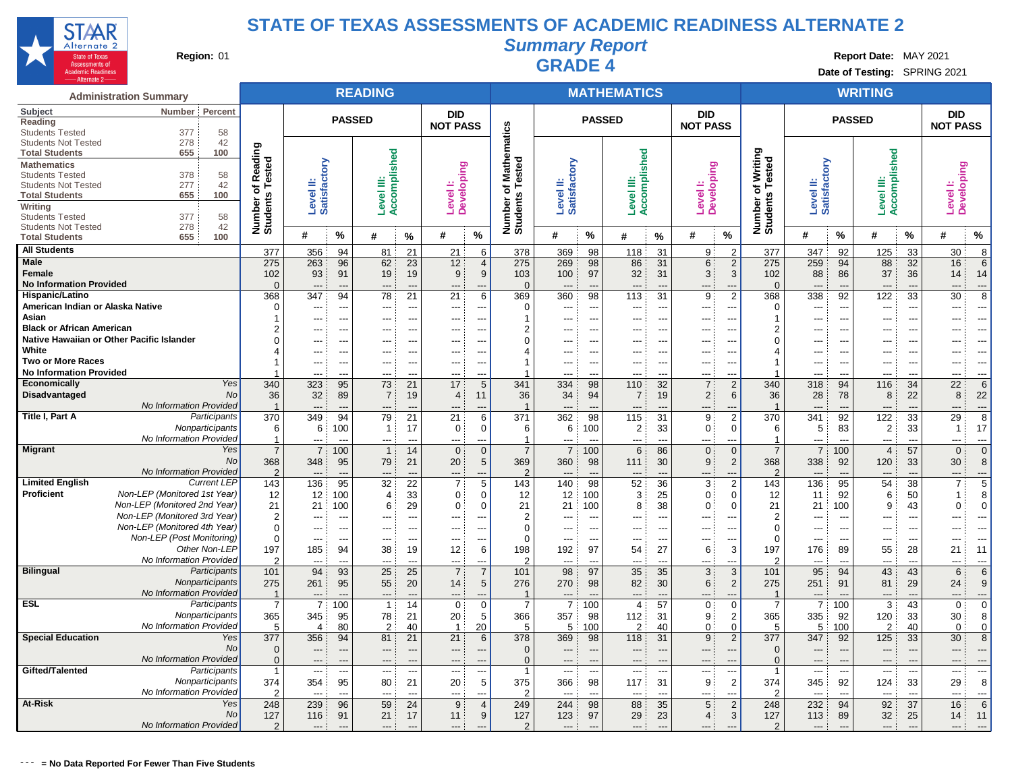

**Summary Report**

**Region:** 01 **Region:** 01 **Region:** 01 **Report Date:** MAY 2021 **Region:** 01 **RADE** 4 **Report Date:** MAY 2021 **Date of Testing:** SPRING 2021

|                                                     | <b>Administration Summary</b>                             |                            |                           |                          | <b>READING</b> |                          |                               |                          |                         |                                 |                                | <b>MATHEMATICS</b>              |                          |                                                 |                                     |                           |                          | <b>WRITING</b>        |                                |                                    |                          |
|-----------------------------------------------------|-----------------------------------------------------------|----------------------------|---------------------------|--------------------------|----------------|--------------------------|-------------------------------|--------------------------|-------------------------|---------------------------------|--------------------------------|---------------------------------|--------------------------|-------------------------------------------------|-------------------------------------|---------------------------|--------------------------|-----------------------|--------------------------------|------------------------------------|--------------------------|
| Subject<br>Reading                                  | Percent<br>Number                                         |                            |                           | <b>PASSED</b>            |                |                          | <b>DID</b><br><b>NOT PASS</b> |                          |                         |                                 | <b>PASSED</b>                  |                                 |                          | <b>DID</b><br><b>NOT PASS</b>                   |                                     |                           | <b>PASSED</b>            |                       |                                | DID<br><b>NOT PASS</b>             |                          |
| <b>Students Tested</b>                              | 58<br>377                                                 |                            |                           |                          |                |                          |                               |                          | athematics              |                                 |                                |                                 |                          |                                                 |                                     |                           |                          |                       |                                |                                    |                          |
| <b>Students Not Tested</b><br><b>Total Students</b> | 42<br>278<br>100<br>655                                   | Reading<br>Tested          |                           |                          |                |                          |                               |                          |                         |                                 |                                |                                 |                          |                                                 |                                     |                           |                          |                       |                                |                                    |                          |
| <b>Mathematics</b>                                  |                                                           |                            |                           |                          | Accomplished   |                          |                               |                          |                         |                                 |                                | Accomplished                    |                          |                                                 | Writing                             |                           |                          | Accomplished          |                                |                                    |                          |
| <b>Students Tested</b>                              | 378<br>58                                                 |                            |                           |                          |                |                          |                               |                          | ested                   |                                 |                                |                                 |                          |                                                 |                                     |                           |                          |                       |                                |                                    |                          |
| <b>Students Not Tested</b>                          | 277<br>42                                                 |                            |                           |                          |                |                          |                               |                          | Σ<br>৳<br>⊢             |                                 |                                | Ë                               |                          |                                                 |                                     |                           |                          |                       |                                |                                    |                          |
| <b>Total Students</b>                               | 100<br>655                                                |                            |                           |                          |                |                          |                               |                          |                         |                                 |                                |                                 |                          |                                                 |                                     |                           |                          |                       |                                |                                    |                          |
| Writing                                             |                                                           | Number of F<br>Students Te | Level II:<br>Satisfactory |                          | Level III:     |                          | Level I:<br>Developing        |                          | Number of<br>Students   | Level II:<br>Satisfactory       |                                | Level                           |                          | <b>Developing</b><br>Level <sub>1</sub>         | Number of Writin<br>Students Tested | Level II:<br>Satisfactory |                          | Level III:            |                                | Developing<br>Level <sup>1</sup> : |                          |
| <b>Students Tested</b>                              | 377<br>58                                                 |                            |                           |                          |                |                          |                               |                          |                         |                                 |                                |                                 |                          |                                                 |                                     |                           |                          |                       |                                |                                    |                          |
| <b>Students Not Tested</b><br><b>Total Students</b> | 278<br>42<br>655<br>100                                   |                            | #                         | %                        | #              | $\%$                     | #                             | $\%$                     |                         | #                               | %                              | #                               | %                        | %<br>#                                          |                                     | #                         | %                        | #                     | %                              | #                                  | $\%$                     |
|                                                     |                                                           |                            |                           |                          |                |                          |                               |                          |                         |                                 |                                |                                 |                          |                                                 |                                     |                           |                          |                       |                                |                                    |                          |
| <b>All Students</b>                                 |                                                           | 377                        | 356                       | 94                       | 81             | 21                       | 21                            | 6                        | 378                     | 369                             | 98                             | 118                             | 31                       | $\overline{2}$<br>9                             | 377                                 | 347                       | 92                       | 125                   | 33                             | 30                                 | 8                        |
| Male                                                |                                                           | 275                        | 263                       | 96                       | 62             | 23                       | 12                            | $\overline{4}$           | 275                     | 269                             | 98                             | 86                              | 31                       | 2<br>6:                                         | 275                                 | 259                       | 94                       | 88                    | 32                             | 16                                 | 6                        |
| Female<br><b>No Information Provided</b>            |                                                           | 102<br>$\Omega$            | 93                        | 91                       | 19             | 19                       | 9                             | 9                        | 103<br>$\Omega$         | 100                             | 97                             | 32                              | 31                       | 3:<br>3                                         | 102                                 | 88                        | 86                       | 37                    | 36                             | 14                                 | 14                       |
| Hispanic/Latino                                     |                                                           | 368                        | $\overline{a}$<br>347     | $\overline{a}$<br>94     | ---<br>78      | ---<br>21                | ---<br>21                     | 6                        | 369                     | $\overline{\phantom{a}}$<br>360 | ---<br>98                      | $\overline{\phantom{a}}$<br>113 | $\overline{a}$<br>31     | $\overline{\phantom{a}}$<br>$\overline{2}$<br>9 | $\mathbf{0}$<br>368                 | $\overline{a}$<br>338     | ---<br>92                | $\overline{a}$<br>122 | $\overline{\phantom{a}}$<br>33 | ---<br>30                          | ---<br>8                 |
| American Indian or Alaska Native                    |                                                           | $\Omega$                   | ---                       | ---                      | ---            | ---                      | $\overline{a}$                |                          | $\overline{0}$          | $\overline{a}$                  | $\overline{\phantom{a}}$       | ---                             | ---                      | ---<br>---                                      | $\mathbf 0$                         | ---                       | ---                      | $\overline{a}$        | $\overline{a}$                 | ---                                | ---                      |
| Asian                                               |                                                           |                            |                           |                          |                | $\overline{a}$           | ---                           |                          | $\overline{\mathbf{1}}$ |                                 | $\overline{\phantom{a}}$       |                                 | ---                      | $\overline{\phantom{a}}$                        | -1                                  | ---                       | ---                      |                       |                                | ---                                | ---                      |
| <b>Black or African American</b>                    |                                                           |                            |                           |                          | ---            | ---                      | ---                           |                          | $\overline{2}$          |                                 | $\overline{\phantom{a}}$       | ---                             | ---                      | ---<br>$\overline{\phantom{a}}$                 | $\overline{2}$                      | ---                       | ---                      |                       |                                | ---                                | ---                      |
| Native Hawaiian or Other Pacific Islander           |                                                           |                            |                           |                          |                | ---                      |                               |                          | $\Omega$                |                                 |                                |                                 | ---                      | $\overline{\phantom{a}}$                        | $\Omega$                            | ---                       | --                       |                       |                                |                                    | ---                      |
| White                                               |                                                           |                            | ---                       |                          |                | $\overline{a}$           | ---                           | $\overline{\phantom{a}}$ | 4                       |                                 | $\overline{\phantom{a}}$       | $---$                           | $\overline{a}$           | ---<br>---                                      | $\overline{4}$                      | $---$                     | ---                      |                       | $\overline{a}$                 | ---                                | ---                      |
| <b>Two or More Races</b>                            |                                                           |                            | ---                       |                          | ---            | ---                      | ---                           |                          | -1                      | ---                             | $\overline{\phantom{a}}$       | $---$                           | $\overline{\phantom{a}}$ | $---$<br>---                                    | -1                                  | $---$                     | ---                      | ---                   | ---                            | ---                                | ---                      |
| <b>No Information Provided</b>                      |                                                           |                            | $---$                     | ---                      | ---            | $\overline{a}$           | ---                           | $---$                    |                         | $---$                           | ---                            | ---                             | $\overline{a}$           | $\overline{a}$<br>$---$                         |                                     | $---$                     | ---                      | ---                   | ---                            | ---                                | ---                      |
| <b>Economically</b>                                 | Yes                                                       | 340                        | 323                       | 95                       | 73             | 21                       | 17                            | 5                        | 341                     | 334                             | 98                             | 110                             | 32                       | $\overline{2}$<br>7:                            | 340                                 | 318                       | 94                       | 116                   | 34                             | 22                                 | 6                        |
| <b>Disadvantaged</b>                                | <b>No</b>                                                 | 36                         | 32                        | 89                       | $\overline{7}$ | 19                       | 4                             | 11                       | 36                      | 34                              | 94                             | 7                               | 19                       | 2:<br>6                                         | 36                                  | 28                        | 78                       | 8                     | 22                             | 8                                  | 22                       |
|                                                     | No Information Provided                                   | $\overline{1}$             | ---                       | $\overline{\phantom{a}}$ | $\overline{a}$ | $\overline{a}$           | $---$                         | --                       | $\overline{1}$          | $---$                           | $\overline{\phantom{a}}$       | $\overline{\phantom{a}}$        | $\overline{\phantom{a}}$ | ---                                             | $\overline{1}$                      | $---$                     | ---                      | $---$                 | $\overline{a}$                 | ---                                | $\overline{\phantom{a}}$ |
| Title I, Part A                                     | Participants                                              | 370                        | 349                       | 94                       | 79             | 21                       | 21                            | 6                        | 371                     | 362                             | 98                             | 115                             | 31                       | $\overline{2}$<br>9                             | 370                                 | 341                       | 92                       | 122                   | 33                             | 29                                 | 8                        |
|                                                     | Nonparticipants                                           | 6                          | 6                         | 100                      | $\overline{1}$ | 17                       | 0                             | 0                        | 6                       | 6                               | 100                            | $\overline{2}$                  | 33                       | 0:<br>$\Omega$                                  | 6                                   | 5                         | 83                       | 2                     | 33                             | $\overline{\mathbf{1}}$            | 17                       |
|                                                     | No Information Provided                                   | $\mathbf{1}$               | $---$                     | $\overline{a}$           | ---            | $\overline{a}$           | $---$                         | $---$                    | $\overline{\mathbf{1}}$ | $---$                           | $\overline{a}$                 | $\overline{a}$                  | $\overline{\phantom{a}}$ | ---<br>$\overline{a}$                           | $\mathbf{1}$                        | $---$                     | ---                      | $---$                 | $\overline{a}$                 | ---                                | ---                      |
| <b>Migrant</b>                                      | Yes                                                       | $\overline{7}$             | $\overline{7}$            | 100                      | $\mathbf{1}$   | 14                       | $\mathbf{0}$                  | $\mathbf{0}$             | $\overline{7}$          | $\overline{7}$                  | 100                            | 6                               | 86                       | $\mathbf{0}$<br>$\Omega$                        | $\overline{7}$                      | $\overline{7}$            | 100                      | $\overline{4}$        | 57                             | $\mathbf 0$                        | $\overline{0}$           |
|                                                     | <b>No</b>                                                 | 368                        | 348                       | 95                       | 79             | 21                       | 20                            | 5                        | 369                     | 360                             | 98                             | 111                             | 30                       | 9<br>2                                          | 368                                 | 338                       | 92                       | 120                   | 33                             | 30                                 | 8                        |
|                                                     | No Information Provided                                   | $\mathcal{P}$              |                           |                          |                |                          | ---                           |                          | $\overline{2}$          |                                 |                                |                                 | ---                      | ---                                             | $\overline{2}$                      |                           | ---                      | $\overline{a}$        |                                | ---                                | ---                      |
| <b>Limited English</b>                              | <b>Current LEP</b>                                        | 143                        | 136                       | 95                       | 32             | 22                       | 7 <sup>1</sup>                | 5                        | 143                     | 140                             | 98                             | 52                              | 36                       | 2<br>3                                          | 143                                 | 136                       | 95                       | 54                    | 38                             | $\overline{7}$                     | 5                        |
| Proficient                                          | Non-LEP (Monitored 1st Year)                              | 12                         | 12                        | 100                      | 4              | 33                       | $\mathbf 0$                   | 0                        | 12                      | 12                              | 100                            | 3                               | 25                       | $\mathbf 0$<br>$\Omega$                         | 12                                  | 11                        | 92                       | 6                     | 50                             | $\mathbf{1}$                       | 8                        |
|                                                     | Non-LEP (Monitored 2nd Year)                              | 21                         | 21                        | 100                      | 6              | 29                       | 0                             | $\Omega$                 | 21                      | 21                              | 100                            | 8                               | 38                       | 0:<br>$\Omega$                                  | 21                                  | 21                        | 100                      | 9                     | 43                             | 0                                  | $\Omega$                 |
|                                                     | Non-LEP (Monitored 3rd Year)                              | $\overline{2}$             | ---                       | ---                      | ---            | $\overline{a}$           | $---$                         | $---$                    | $\overline{2}$          | $---$                           | ---                            | $---$                           | $\overline{\phantom{a}}$ | $---$<br>---                                    | $\overline{2}$                      | $---$                     | ---                      | $---$                 | $---$                          | ---                                | $\overline{\phantom{a}}$ |
|                                                     | Non-LEP (Monitored 4th Year)<br>Non-LEP (Post Monitoring) | $\Omega$                   | ---                       | ---                      | ---            | $\overline{a}$           | $---$                         | $\overline{a}$           | $\mathbf 0$             | ---                             | ---                            | $---$                           | $\overline{a}$           | ---<br>---                                      | $\mathbf 0$                         | $---$                     | ---                      | $---$                 | $---$                          | ---                                | $\overline{\phantom{a}}$ |
|                                                     | Other Non-LEP                                             | $\Omega$<br>197            | $\overline{a}$            | $\overline{a}$<br>94     | ---            | $\overline{a}$<br>19     | $---$<br>12                   | --                       | $\Omega$<br>198         | $---$                           | $\overline{\phantom{a}}$<br>97 | ---<br>54                       | $\overline{a}$<br>27     | $---$<br>$\overline{a}$<br>3                    | 0<br>197                            | $---$<br>176              | $\overline{a}$<br>89     | $\overline{a}$        | $\overline{a}$<br>28           | ---                                | $\overline{a}$<br>11     |
|                                                     | No Information Provided                                   | $\mathcal{P}$              | 185<br>$---$              | $\overline{a}$           | 38<br>---      | $\overline{a}$           | $---$                         | 6<br>$\overline{a}$      | 2                       | 192<br>$---$                    | $\overline{\phantom{a}}$       | ---                             | $\overline{a}$           | 6<br>$\overline{a}$<br>$\overline{a}$           | $\overline{2}$                      | $---$                     | $-$                      | 55<br>$---$           | $\overline{a}$                 | 21<br>$\overline{a}$               | ---                      |
| <b>Bilingual</b>                                    | Participants                                              | 101                        | 94                        | 93                       | 25             | 25                       | $\overline{7}$                | $\overline{7}$           | 101                     | 98                              | 97                             | 35                              | 35                       | 3<br>3                                          | 101                                 | 95                        | 94                       | 43                    | 43                             | 6                                  | 6                        |
|                                                     | Nonparticipants                                           | 275                        | 261                       | 95                       | 55             | 20                       | 14                            | 5                        | 276                     | 270                             | 98                             | 82                              | 30                       | 6<br>2                                          | 275                                 | 251                       | 91                       | 81                    | 29                             | 24                                 | 9                        |
|                                                     | No Information Provided                                   | $\mathbf{1}$               |                           |                          | ---            |                          |                               |                          |                         |                                 |                                |                                 | ---                      | --                                              | $\overline{\phantom{a}}$            |                           |                          |                       |                                | ---                                | ---                      |
| <b>ESL</b>                                          | Participants                                              | $\overline{7}$             | $\overline{7}$            | 100                      | $\mathbf{1}$   | 14                       | $\mathbf 0$                   | $\mathbf 0$              | $\overline{7}$          | 7:                              | 100                            | $\overline{4}$                  | 57                       | 0<br>$\mathbf 0$                                | $\overline{7}$                      | 7 <sup>3</sup>            | 100                      | 3                     | 43                             | $\mathbf 0$                        | $\Omega$                 |
|                                                     | Nonparticipants                                           | 365                        | 345                       | 95                       | 78             | 21                       | 20                            | 5                        | 366                     | 357                             | 98                             | 112                             | 31                       | 9<br>2                                          | 365                                 | 335                       | 92                       | 120                   | 33                             | 30                                 | 8                        |
|                                                     | No Information Provided                                   | 5                          | 4                         | 80                       | $\overline{2}$ | 40                       | $\overline{1}$                | 20                       | 5                       | 5                               | 100                            | $\overline{2}$                  | 40                       | $\Omega$<br>0:                                  | 5                                   | 5                         | 100                      | $\overline{2}$        | 40                             | $\Omega$                           | $\overline{0}$           |
| <b>Special Education</b>                            | Yes                                                       | 377                        | 356                       | 94                       | 81             | 21                       | 21                            | 6                        | 378                     | 369                             | 98                             | 118                             | 31                       | $\overline{2}$<br>9:                            | 377                                 | 347                       | 92                       | 125                   | 33                             | 30                                 | 8                        |
|                                                     | No                                                        | $\mathbf{0}$               | ---                       | ---                      | ---            | $\overline{\phantom{a}}$ | $---$                         | $\overline{\phantom{a}}$ | $\mathbf 0$             | $---$                           | ---                            | $---$                           | ---                      | $---$<br>---                                    | $\mathbf 0$                         | $---$                     | $\overline{\phantom{a}}$ | $---$                 | ---                            | ---                                | ---                      |
|                                                     | No Information Provided                                   | $\Omega$                   | $---$                     | ---                      | ---            | $\overline{a}$           | $---$                         | $\overline{a}$           | $\Omega$                | $---$                           | ---                            | $---$                           | $\overline{\phantom{a}}$ | $\overline{\phantom{a}}$<br>$---$               | $\Omega$                            | $---$                     | $\overline{\phantom{a}}$ | $---$                 | $---$                          | ---                                | $\overline{\phantom{a}}$ |
| Gifted/Talented                                     | Participants                                              | $\mathbf{1}$               | $---$                     | $\overline{\phantom{a}}$ | ---            | $\overline{\phantom{a}}$ | $---$                         |                          | $\overline{1}$          | $---$                           | $\overline{\phantom{a}}$       | $---$                           | ---                      | $---$<br>$\overline{\phantom{a}}$               | $\mathbf{1}$                        | $---$                     | ---                      | $---$                 | $\overline{\phantom{a}}$       | ---                                | $\overline{\phantom{a}}$ |
|                                                     | Nonparticipants                                           | 374                        | 354                       | 95                       | 80             | 21                       | 20                            | 5                        | 375                     | 366                             | 98                             | 117                             | 31                       | 9<br>$\overline{2}$                             | 374                                 | 345                       | 92                       | 124                   | 33                             | 29                                 | 8                        |
|                                                     | No Information Provided                                   | 2                          | $\overline{a}$            | $\overline{a}$           | $\overline{a}$ | $\overline{a}$           | $---$                         |                          | $\overline{2}$          | $---$                           | $\overline{\phantom{a}}$       | $---$                           | $\overline{a}$           | $\overline{a}$<br>$\overline{a}$                | $\mathcal{P}$                       | $---$                     | $\overline{a}$           | $\overline{a}$        | $---$                          | ---                                | $\overline{a}$           |
| At-Risk                                             | Yes                                                       | 248                        | 239                       | 96                       | 59             | 24                       | 9                             | $\overline{4}$           | 249                     | 244                             | 98                             | 88                              | 35                       | $\overline{2}$<br>5:                            | 248                                 | 232                       | 94                       | 92                    | 37                             | 16                                 | 6                        |
|                                                     | No                                                        | 127                        | 116                       | 91                       | 21             | 17                       | 11                            | 9                        | 127                     | 123                             | 97                             | 29                              | 23                       | 3<br>4:                                         | 127                                 | 113                       | 89                       | 32                    | 25                             | 14                                 | 11                       |
|                                                     | No Information Provided                                   | $\mathfrak{p}$             | $---$                     |                          | ---            | ---                      | $---$                         |                          | $\overline{2}$          | $---$                           |                                | ---                             |                          | ---<br>$\overline{a}$                           | $\mathcal{P}$                       | $---$                     |                          | $\overline{a}$        |                                | ---                                | ---                      |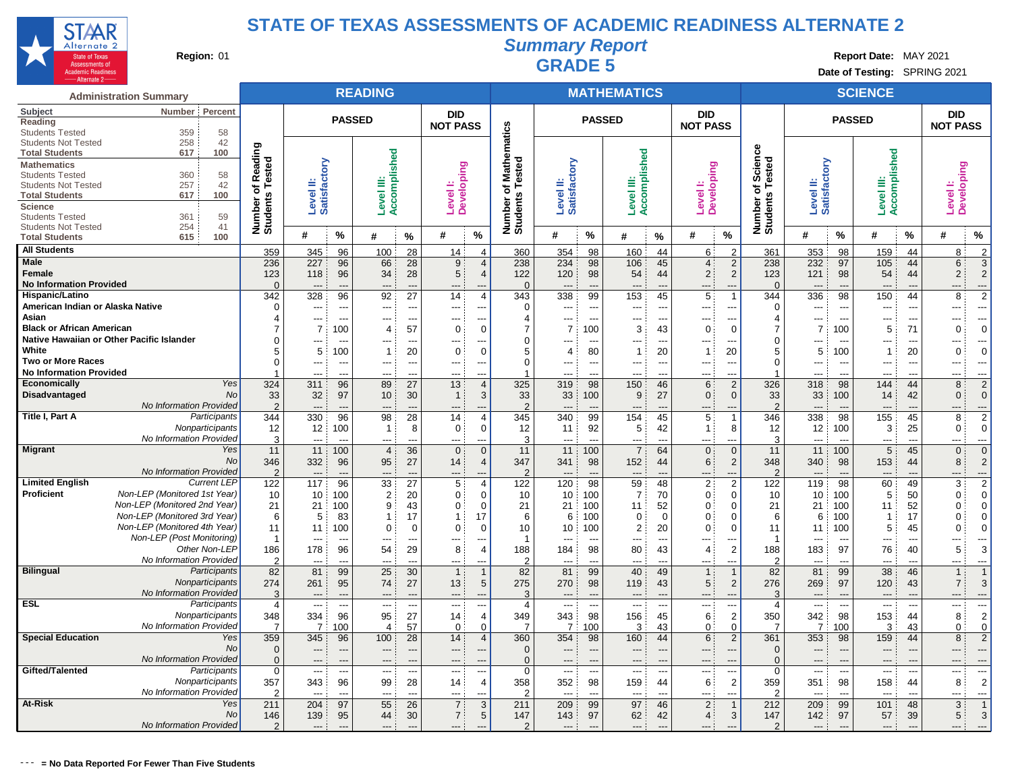

**Summary Report**

**Region:** 01 **Region:** 01 **Region:** 01 **Report Date:** MAY 2021 **Region:** 01 **Report Date:** MAY 2021 **Date of Testing:** SPRING 2021

| <b>Administration Summary</b>                                                                                         |                       |                           |                       | <b>READING</b>             |                                            |                               |                                            |                       |                                |                                                      | <b>MATHEMATICS</b>       |                                            |                                                     |                                  |                                 |                       | <b>SCIENCE</b>             |                                    |                        |                       |
|-----------------------------------------------------------------------------------------------------------------------|-----------------------|---------------------------|-----------------------|----------------------------|--------------------------------------------|-------------------------------|--------------------------------------------|-----------------------|--------------------------------|------------------------------------------------------|--------------------------|--------------------------------------------|-----------------------------------------------------|----------------------------------|---------------------------------|-----------------------|----------------------------|------------------------------------|------------------------|-----------------------|
| Percent<br>Subject<br>Number<br>Reading                                                                               |                       |                           | <b>PASSED</b>         |                            |                                            | <b>DID</b><br><b>NOT PASS</b> |                                            |                       |                                | <b>PASSED</b>                                        |                          |                                            | DID<br><b>NOT PASS</b>                              |                                  |                                 | <b>PASSED</b>         |                            |                                    | DID<br><b>NOT PASS</b> |                       |
| 359<br>58<br><b>Students Tested</b><br>258<br>42<br><b>Students Not Tested</b>                                        |                       |                           |                       |                            |                                            |                               |                                            | athematics            |                                |                                                      |                          |                                            |                                                     |                                  |                                 |                       |                            |                                    |                        |                       |
| 617<br>100<br><b>Total Students</b><br><b>Mathematics</b>                                                             | Reading<br>Tested     |                           |                       |                            |                                            |                               |                                            | ested                 |                                |                                                      |                          |                                            |                                                     | Science<br>ested                 |                                 |                       |                            |                                    |                        |                       |
| 360<br>58<br><b>Students Tested</b><br>257<br>42<br><b>Students Not Tested</b><br>100<br><b>Total Students</b><br>617 | ⊢<br>৳                | Level II:<br>Satisfactory |                       | Accomplished<br>Level III: |                                            | Level I:<br>Developing        |                                            | Σ<br>৳<br>⊢           | Level II:<br>Satisfactory      |                                                      | Accomplished<br>≝        |                                            | Level I:<br>Developing                              |                                  | Level II:<br>Satisfactory       |                       | Accomplished<br>Level III: |                                    | Level I:<br>Developing |                       |
| Science<br>361<br>59<br><b>Students Tested</b>                                                                        | Number of<br>Students |                           |                       |                            |                                            |                               |                                            | Number o<br>Students  |                                |                                                      | Level                    |                                            |                                                     | Number of 9                      |                                 |                       |                            |                                    |                        |                       |
| 254<br>41<br><b>Students Not Tested</b><br>615<br>100<br><b>Total Students</b>                                        |                       | #                         | %                     | #                          | $\%$                                       | #                             | %                                          |                       | #                              | %                                                    | #                        | %                                          | $\%$<br>#                                           |                                  | #                               | $\%$                  | #                          | $\%$                               | #                      | %                     |
| <b>All Students</b>                                                                                                   | 359                   | 345                       | 96                    | 100                        | 28                                         | 14                            | 4                                          | 360                   | 354                            | 98                                                   | 160                      | 44                                         | 6<br>$\mathcal{P}$                                  | 361                              | 353                             | 98                    | 159                        | 44                                 | 8                      | $\overline{2}$        |
| Male<br><b>Female</b>                                                                                                 | 236<br>123            | 227<br>118                | 96<br>96              | 66<br>34                   | 28<br>28                                   | 9<br>5 <sup>1</sup>           | $\overline{4}$<br>$\overline{4}$           | 238<br>122            | 234<br>120                     | 98<br>98                                             | 106<br>54                | 45<br>44                                   | 4:<br>$\overline{2}$<br>2:<br>2                     | 238<br>123                       | 232<br>121                      | 97<br>98              | 105<br>54                  | 44<br>44                           | 6<br>$\overline{2}$    | 3<br>$\overline{2}$   |
| <b>No Information Provided</b>                                                                                        | $\mathbf{0}$          | $---$                     |                       | ---                        | ---                                        | ---                           |                                            | $\overline{0}$        | $---$                          |                                                      | ---                      | $\overline{a}$                             | $\overline{a}$                                      | $\Omega$                         | $\overline{a}$                  | $\overline{a}$        | $\overline{a}$             |                                    |                        | ---                   |
| Hispanic/Latino                                                                                                       | 342                   | 328                       | 96                    | 92                         | 27                                         | 14                            | $\overline{4}$                             | 343                   | 338                            | 99                                                   | 153                      | 45                                         | 5<br>$\overline{\phantom{a}}$                       | 344                              | 336                             | 98                    | 150                        | 44                                 | 8                      | $\overline{2}$        |
| American Indian or Alaska Native                                                                                      | $\Omega$              | ---                       | ---                   | ---                        | ---                                        | ---                           | $\overline{a}$                             | $\overline{0}$        | ---                            | $\overline{\phantom{a}}$                             | ---                      | $\overline{\phantom{a}}$                   | $\overline{\phantom{a}}$<br>---                     | $\Omega$                         | $---$                           | $\overline{a}$        | $---$                      | ---                                | ---                    | ---                   |
| Asian<br><b>Black or African American</b>                                                                             |                       | ---<br>$\overline{7}$     | $\overline{a}$<br>100 | ---<br>$\overline{4}$      | ---<br>57                                  | ---<br>0                      | $\Omega$                                   | $\overline{4}$<br>7   | ---<br>$\overline{7}$          | $\overline{\phantom{a}}$<br>100                      | $\overline{a}$<br>3      | ---<br>43                                  | $---$<br>---<br>$\mathbf 0$<br>$\mathbf 0$          | $\overline{4}$<br>$\overline{7}$ | $---$                           | ---<br>100            | $---$<br>5                 | $\overline{a}$<br>71               | ---<br>$\mathbf 0$     | ---<br>$\Omega$       |
| Native Hawaiian or Other Pacific Islander                                                                             |                       | ---                       | ---                   | ---                        | $\overline{\phantom{a}}$                   | ---                           |                                            | 0                     | ---                            |                                                      | ---                      | $\overline{\phantom{a}}$                   | ---<br>---                                          | $\mathbf 0$                      | ---                             | --                    | $---$                      | $\overline{a}$                     | ---                    | $\overline{a}$        |
| White                                                                                                                 | 5                     | 5                         | 100                   | $\mathbf{1}$               | 20                                         | $\overline{0}$                | $\Omega$                                   | 5                     | $\overline{4}$                 | 80                                                   | $\overline{1}$           | 20                                         | 20<br>$\mathbf{1}$                                  | 5                                | 5                               | 100                   | -1                         | 20                                 | $\mathbf 0$            | $\Omega$              |
| <b>Two or More Races</b><br><b>No Information Provided</b>                                                            | $\Omega$              | ---<br>$\overline{a}$     | ---<br>$\overline{a}$ | ---<br>---                 | $\overline{\phantom{a}}$<br>$\overline{a}$ | ---<br>$---$                  | $\overline{\phantom{a}}$<br>$\overline{a}$ | $\mathbf 0$           | $---$<br>$---$                 | $\overline{\phantom{a}}$<br>$\overline{\phantom{a}}$ | $\overline{a}$<br>---    | $\overline{\phantom{a}}$<br>$\overline{a}$ | $\overline{a}$<br>$---$<br>$\overline{a}$<br>$-$ -- | $\mathbf 0$                      | $---$<br>$---$                  | --<br>$\overline{a}$  | $---$<br>$---$             | $\overline{\phantom{a}}$<br>$-$ -- | ---<br>---             | $\overline{a}$<br>--- |
| <b>Economically</b><br>Yes                                                                                            | 324                   | 311                       | 96                    | 89                         | 27                                         | 13                            | $\overline{4}$                             | 325                   | 319                            | 98                                                   | 150                      | 46                                         | 6<br>$\overline{2}$                                 | 326                              | 318                             | 98                    | 144                        | 44                                 | 8                      | $\overline{2}$        |
| <b>Disadvantaged</b><br><b>No</b>                                                                                     | 33                    | 32                        | 97                    | 10 <sup>°</sup>            | 30                                         | 1                             | 3                                          | 33                    | 33                             | 100                                                  | $9\,$                    | 27                                         | 0:<br>$\mathbf{0}$                                  | 33                               | 33                              | 100                   | 14                         | 42                                 | $\overline{0}$         | $\mathbf 0$           |
| No Information Provided                                                                                               | 2                     | ---                       | $\overline{a}$        | ---                        | $\overline{\phantom{a}}$                   | $\overline{a}$                |                                            | $\overline{2}$        | $\overline{\phantom{a}}$       |                                                      | ---                      | $\overline{a}$                             |                                                     | $\overline{2}$                   | $\overline{a}$                  | --                    | ---                        |                                    | ---                    | ---                   |
| Title I, Part A<br>Participants                                                                                       | 344                   | 330                       | 96                    | 98                         | 28                                         | 14                            | $\overline{4}$                             | 345                   | 340                            | 99                                                   | 154                      | 45                                         | 5                                                   | 346                              | 338                             | 98                    | 155                        | 45                                 | 8                      | $\overline{2}$        |
| Nonparticipants                                                                                                       | 12                    | 12                        | 100                   | $\mathbf{1}$               | 8                                          | 0                             | $\mathbf 0$                                | 12                    | 11                             | 92                                                   | 5                        | 42                                         | 8<br>$\mathbf{1}$                                   | 12                               | 12                              | 100                   | 3                          | 25                                 | 0                      | $\Omega$              |
| No Information Provided<br><b>Migrant</b><br>Yes                                                                      | 3<br>11               | $\overline{a}$<br>11      | $\overline{a}$<br>100 | ---<br>$\overline{4}$      | ---<br>36                                  | ---<br>$\mathbf{0}$           | $\Omega$                                   | 3<br>11               | $\overline{\phantom{a}}$<br>11 | $\overline{a}$<br>100                                | ---<br>$\overline{7}$    | $\overline{a}$<br>64                       | ---<br>$\overline{a}$<br>0<br>$\Omega$              | 3<br>11                          | $\overline{a}$<br>11            | $\overline{a}$<br>100 | $\overline{a}$<br>5        | $\overline{a}$<br>45               | ---<br>$\mathbf{0}$    | ---<br>$\Omega$       |
| No                                                                                                                    | 346                   | 332                       | 96                    | 95                         | 27                                         | 14                            | $\overline{4}$                             | 347                   | 341                            | 98                                                   | 152                      | 44                                         | 6:<br>2                                             | 348                              | 340                             | 98                    | 153                        | 44                                 | 8                      | $\overline{2}$        |
| No Information Provided                                                                                               | $\overline{2}$        | $\overline{a}$            | $\overline{a}$        | ---                        | $---$                                      | $---$                         |                                            | $\overline{2}$        | $---$                          |                                                      | $\overline{\phantom{a}}$ | ---                                        | $\overline{a}$<br>$---$                             | $\overline{2}$                   | $---$                           | $-$                   | ---                        |                                    | ---                    | ---                   |
| <b>Current LEP</b><br><b>Limited English</b>                                                                          | 122                   | 117                       | 96                    | 33                         | 27                                         | 5                             | $\overline{4}$                             | 122                   | 120                            | 98                                                   | 59                       | 48                                         | $\overline{2}$<br>2:                                | 122                              | 119                             | 98                    | 60                         | 49                                 | 3                      | $\overline{2}$        |
| Non-LEP (Monitored 1st Year)<br>Proficient                                                                            | 10                    | 10                        | 100                   | $\overline{2}$             | 20                                         | 0                             | $\mathbf 0$                                | 10                    | 10                             | 100                                                  | 7                        | 70                                         | 0:<br>$\Omega$                                      | 10                               | 10                              | 100                   | 5                          | 50                                 | $\Omega$               | $\Omega$              |
| Non-LEP (Monitored 2nd Year)                                                                                          | 21                    | 21                        | 100                   | 9                          | 43                                         | 0                             | $\mathbf 0$                                | 21                    | 21                             | 100                                                  | 11                       | 52                                         | 0:<br>0                                             | 21                               | 21                              | 100                   | 11                         | 52                                 | $\mathbf 0$            | $\Omega$              |
| Non-LEP (Monitored 3rd Year)                                                                                          | 6                     | 5                         | 83                    | $\mathbf{1}$               | 17                                         | $\overline{1}$                | 17                                         | 6                     | 6                              | 100                                                  | $\mathbf 0$              | $\mathbf 0$                                | 0<br>0                                              | 6                                | 6                               | 100                   | -1                         | 17                                 | $\mathbf 0$            | $\mathbf 0$           |
| Non-LEP (Monitored 4th Year)                                                                                          | 11                    | 11                        | 100                   | 0                          | $\overline{0}$                             | 0                             | $\Omega$                                   | 10                    | 10                             | 100                                                  | $\overline{2}$           | 20                                         | 0:<br>0                                             | 11                               | 11                              | 100                   | 5                          | 45                                 | 0                      | $\mathbf 0$           |
| Non-LEP (Post Monitoring)<br>Other Non-LEP                                                                            | -1<br>186             | ---<br>178                | $\overline{a}$<br>96  | ---<br>54                  | $\overline{a}$<br>29                       | $---$<br>8                    | $\overline{4}$                             | 188                   | $---$<br>184                   | $\overline{\phantom{a}}$<br>98                       | $\overline{a}$<br>80     | $\overline{a}$<br>43                       | $---$<br>$\overline{a}$<br>2<br>$\overline{4}$      | -1<br>188                        | $---$<br>183                    | $\overline{a}$<br>97  | $---$<br>76                | $---$<br>40                        | $\overline{a}$<br>5    | $\overline{a}$<br>3   |
| No Information Provided                                                                                               | $\overline{2}$        | $---$                     | $\overline{a}$        | ---                        | ---                                        | ---                           | $-$                                        | $\overline{2}$        | $---$                          | $\overline{a}$                                       | ---                      | $\overline{a}$                             | ---<br>$---$                                        | $\overline{2}$                   | $\overline{a}$                  | $\overline{a}$        | $---$                      | ---                                | ---                    | ---                   |
| <b>Bilingual</b><br>Participants                                                                                      | 82                    | 81                        | 99                    | 25                         | 30                                         | 1                             | $\overline{1}$                             | 82                    | 81                             | 99                                                   | 40                       | 49                                         | 1                                                   | 82                               | 81                              | 99                    | 38                         | 46                                 | 1                      | $\overline{1}$        |
| Nonparticipants                                                                                                       | 274                   | 261                       | 95                    | 74                         | 27                                         | 13                            | 5                                          | 275                   | 270                            | 98                                                   | 119                      | 43                                         | 5<br>2                                              | 276                              | 269                             | 97                    | 120                        | 43                                 | $\overline{7}$         | 3                     |
| No Information Provided                                                                                               | 3                     |                           |                       |                            |                                            |                               |                                            | 3                     |                                |                                                      |                          |                                            |                                                     | 3                                |                                 |                       |                            |                                    |                        | --                    |
| <b>ESL</b><br>Participants                                                                                            | 4                     | $\overline{\phantom{a}}$  | ---                   | ---                        | $\overline{a}$                             | ---                           |                                            | $\overline{4}$        | $\overline{\phantom{a}}$       |                                                      | $\overline{\phantom{a}}$ | $\overline{\phantom{a}}$                   | ---                                                 | $\overline{4}$                   | $\overline{a}$                  | ---                   | ---                        |                                    | ---                    | --                    |
| Nonparticipants                                                                                                       | 348                   | 334                       | 96                    | 95                         | 27                                         | 14                            | $\overline{4}$                             | 349                   | 343                            | 98                                                   | 156                      | 45                                         | $\overline{2}$<br>6                                 | 350                              | 342                             | 98                    | 153                        | 44                                 | 8                      | $\overline{2}$        |
| No Information Provided<br><b>Special Education</b><br>Yes                                                            | $\overline{7}$        | $\overline{7}$<br>345     | 100<br>96             | 4                          | 57                                         | 0<br>14                       | $\Omega$<br>$\overline{4}$                 | $\overline{7}$        | $\overline{7}$<br>354          | 100<br>98                                            | 3<br>160                 | 43<br>44                                   | 0<br>0<br>6:                                        | 7<br>361                         | $\overline{7}$                  | 100                   | 3                          | 43<br>44                           | 0<br>8                 | $\mathbf 0$           |
| No                                                                                                                    | 359<br>$\mathbf{0}$   | ---                       | ---                   | 100<br>---                 | 28<br>---                                  | ---                           |                                            | 360<br>$\overline{0}$ | $---$                          |                                                      | ---                      | ---                                        | $\mathbf 2$<br>---                                  | $\overline{0}$                   | 353<br>$\overline{\phantom{a}}$ | 98<br>---             | 159<br>---                 | ---                                | ---                    | $\overline{2}$<br>--- |
| No Information Provided                                                                                               | $\Omega$              | $---$                     | $---$                 | ---                        | ---                                        | $---$                         | $\overline{\phantom{a}}$                   | $\Omega$              | $---$                          | $\overline{\phantom{a}}$                             | $---$                    | ---                                        | ---<br>$---$                                        | $\Omega$                         | $---$                           | ---                   | $---$                      | ---                                | ---                    | ---                   |
| Gifted/Talented<br>Participants                                                                                       | $\mathbf 0$           | $---$                     | ---                   | ---                        | ---                                        | ---                           | $\overline{\phantom{a}}$                   | 0                     | $---$                          | $---$                                                | $\overline{\phantom{a}}$ | $---$                                      | $---$<br>---                                        | 0                                | $---$                           | ---                   | $---$                      | $---$                              | ---                    | $\overline{a}$        |
| Nonparticipants                                                                                                       | 357                   | 343                       | 96                    | 99                         | 28                                         | 14                            | $\overline{4}$                             | 358                   | 352                            | 98                                                   | 159                      | 44                                         | 6<br>$\overline{2}$                                 | 359                              | 351                             | 98                    | 158                        | 44                                 | 8                      | $\overline{2}$        |
| No Information Provided                                                                                               | $\overline{2}$        | ---                       | $\overline{a}$        | ---                        | $\overline{a}$                             | ---                           |                                            | $\overline{2}$        | $---$                          | $\overline{\phantom{a}}$                             | $---$                    | $\overline{\phantom{a}}$                   | $\overline{a}$                                      | $\overline{2}$                   | $\overline{a}$                  | $\overline{a}$        | ---                        | $---$                              | ---                    | $\overline{a}$        |
| At-Risk<br>Yes                                                                                                        | 211                   | 204                       | 97                    | 55                         | 26                                         | 7 <sup>1</sup>                | 3                                          | 211                   | 209                            | 99                                                   | 97                       | 46                                         | 2:                                                  | 212                              | 209                             | 99                    | 101                        | 48                                 | 3                      | $\overline{1}$        |
| No                                                                                                                    | 146                   | 139                       | 95                    | 44                         | 30                                         | 7 <sup>1</sup>                | 5                                          | 147                   | 143                            | 97                                                   | 62                       | 42                                         | 4:<br>3                                             | 147                              | 142                             | 97                    | 57                         | 39                                 | 5                      | 3                     |
| No Information Provided                                                                                               | $\mathcal{P}$         | $\overline{\phantom{a}}$  |                       | ---                        |                                            | $---$                         |                                            | $\mathcal{P}$         | $\overline{\phantom{a}}$       |                                                      | $\overline{\phantom{a}}$ |                                            | $\overline{\phantom{a}}$<br>$---$                   | $\mathcal{P}$                    | $---$                           | $-$                   | $---$                      |                                    | ---                    | ---                   |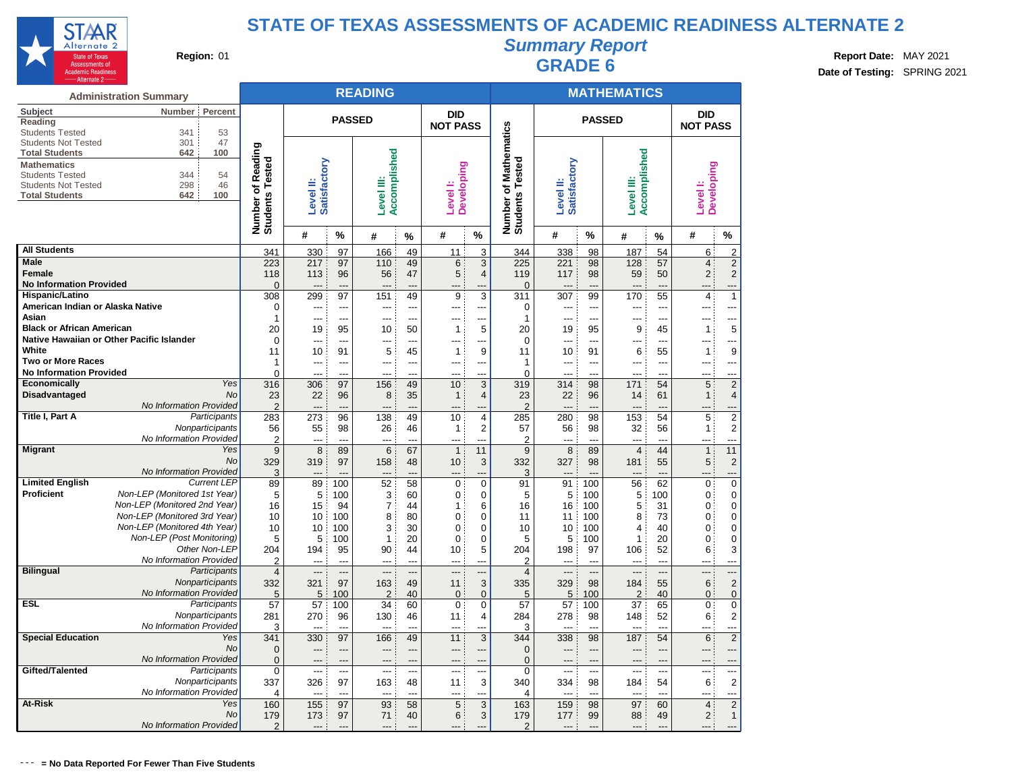

# **Summary Report Region:** 01 **Region:** 01 **Region:** 01 **Report Date:** MAY 2021 **Region:** 01 **Report Date:** MAY 2021 **CRADE 6 Report Date: CRADE 6 Date: CRADE 6**

**Date of Testing:** SPRING 2021

|                                                     | <b>Administration Summary</b>                      |                                    |                      |                      | <b>READING</b>      |                |                          |                     |                                    |                                 |                | <b>MATHEMATICS</b>       |                |                         |                                           |
|-----------------------------------------------------|----------------------------------------------------|------------------------------------|----------------------|----------------------|---------------------|----------------|--------------------------|---------------------|------------------------------------|---------------------------------|----------------|--------------------------|----------------|-------------------------|-------------------------------------------|
| Subject<br>Reading                                  | Number<br>Percent                                  |                                    |                      | <b>PASSED</b>        |                     |                | <b>DID</b>               |                     |                                    |                                 | <b>PASSED</b>  |                          |                | <b>DID</b>              |                                           |
| <b>Students Tested</b>                              | 341<br>53                                          |                                    |                      |                      |                     |                | <b>NOT PASS</b>          |                     | <b>Mathematics</b>                 |                                 |                |                          |                | <b>NOT PASS</b>         |                                           |
| <b>Students Not Tested</b><br><b>Total Students</b> | 301<br>47<br>100<br>642                            |                                    |                      |                      |                     |                |                          |                     |                                    |                                 |                |                          |                |                         |                                           |
| <b>Mathematics</b>                                  |                                                    | Reading                            |                      |                      | Accomplished        |                |                          |                     |                                    |                                 |                | Accomplished             |                |                         |                                           |
| <b>Students Tested</b>                              | 344<br>54                                          |                                    | Satisfactory         |                      |                     |                | <b>Developing</b>        |                     |                                    | Satisfactory                    |                |                          |                | <b>Developing</b>       |                                           |
| <b>Students Not Tested</b>                          | 298<br>46<br>100                                   |                                    |                      |                      |                     |                |                          |                     |                                    |                                 |                |                          |                |                         |                                           |
| <b>Total Students</b>                               | 642                                                |                                    | Level II:            |                      | Level III:          |                | Level I:                 |                     |                                    | Level II:                       |                | Level III:               |                | Level <sup>1</sup> :    |                                           |
|                                                     |                                                    | Number of Readi<br>Students Tested |                      |                      |                     |                |                          |                     | Number of Mathe<br>Students Tested |                                 |                |                          |                |                         |                                           |
|                                                     |                                                    |                                    | #                    | %                    | #                   | %              | #                        | %                   |                                    | #                               | $\frac{0}{0}$  | #                        | %              | #                       | %                                         |
| <b>All Students</b>                                 |                                                    | 341                                | 330                  | 97                   | 166                 | 49             | 11                       | 3                   | 344                                | 338                             | 98             | 187                      | 54             | 6                       | $\overline{2}$                            |
| <b>Male</b>                                         |                                                    | 223                                | 217                  | 97                   | 110                 | 49             | 6                        | 3                   | 225                                | 221                             | 98             | 128                      | 57             | $\overline{4}$          | $\mathbf 2$                               |
| <b>Female</b><br><b>No Information Provided</b>     |                                                    | 118                                | 113                  | 96                   | 56                  | 47             | 5                        | $\overline{4}$      | 119                                | 117                             | 98             | 59                       | 50             | $\overline{2}$          | $\overline{2}$                            |
| Hispanic/Latino                                     |                                                    | $\overline{0}$<br>308              | 299                  | $\overline{a}$<br>97 | 151                 | <br>49         | 9                        | 3                   | $\mathbf 0$<br>311                 | $---$<br>307                    | ---<br>99      | $---$<br>170             | ---<br>55      | 4                       | ---<br>$\mathbf{1}$                       |
| American Indian or Alaska Native                    |                                                    | 0                                  | ---                  | ---                  | ---                 | ---            |                          | ---                 | 0                                  | ---                             | ---            | ---                      | ---            |                         | ---                                       |
| Asian                                               |                                                    | $\mathbf{1}$                       | $\overline{a}$       | $\overline{a}$       | $\overline{a}$      | ---            | ---                      | ---                 | $\mathbf{1}$                       | $\overline{a}$                  | ---            | ---                      | ---            |                         | ---                                       |
| <b>Black or African American</b>                    |                                                    | 20                                 | 19                   | 95                   | 10                  | 50             | $\mathbf{1}$             | 5                   | 20                                 | 19                              | 95             | 9                        | 45             | $\mathbf{1}$            | 5                                         |
|                                                     | Native Hawaiian or Other Pacific Islander          | $\mathbf 0$                        | ---                  | $\overline{a}$       | ---                 | ---            | ---                      | ---                 | $\Omega$                           | $---$                           | ---            | $---$                    | ---            |                         | ---                                       |
| White<br><b>Two or More Races</b>                   |                                                    | 11<br>1                            | 10<br>$\overline{a}$ | 91<br>---            | 5<br>---            | 45<br>---      | $\mathbf{1}$<br>---      | 9<br>$\overline{a}$ | 11<br>1                            | 10<br>$\overline{a}$            | 91<br>---      | 6<br>---                 | 55<br>---      | $\overline{1}$<br>$---$ | 9<br>---                                  |
| <b>No Information Provided</b>                      |                                                    | 0                                  | ---                  | $\sim$               | ---                 | $\overline{a}$ | $-$ --                   | $\sim$              | $\Omega$                           | $- - -$                         | $\overline{a}$ | $- - -$                  | $\sim$         | ---                     | ---                                       |
| Economically                                        | Yes                                                | 316                                | 306                  | 97                   | 156                 | 49             | 10                       | 3                   | 319                                | 314                             | 98             | 171                      | 54             | 5                       | $\overline{2}$                            |
| Disadvantaged                                       | <b>No</b>                                          | 23                                 | 22                   | 96                   | 8                   | 35             | $\mathbf{1}$             | 4                   | 23                                 | 22                              | 96             | 14                       | 61             | 1                       | 4                                         |
|                                                     | No Information Provided                            | $\overline{2}$                     | $\overline{a}$       | $---$                | ---                 | ---            | $\overline{\phantom{a}}$ | ---                 | $\overline{2}$                     | $---$                           | ---            | $---$                    | ---            |                         | ---                                       |
| Title I, Part A                                     | Participants<br>Nonparticipants                    | 283<br>56                          | 273                  | 96<br>98             | 138<br>26           | 49<br>46       | 10                       | 4<br>$\overline{2}$ | 285                                | 280                             | 98<br>98       | 153                      | 54<br>56       | 5                       | $\overline{2}$<br>$\overline{\mathbf{c}}$ |
|                                                     | No Information Provided                            | $\overline{2}$                     | 55<br>---            | ---                  |                     | ---            | 1                        |                     | 57<br>$\overline{2}$               | 56                              |                | 32<br>$---$              | ---            | $\mathbf{1}$            | ---                                       |
| <b>Migrant</b>                                      | Yes                                                | 9                                  | 8                    | 89                   | 6                   | 67             | $\mathbf{1}$             | 11                  | 9                                  | 8                               | 89             | $\overline{4}$           | 44             | 1                       | 11                                        |
|                                                     | No                                                 | 329                                | 319                  | 97                   | 158                 | 48             | 10                       | 3                   | 332                                | 327                             | 98             | 181                      | 55             | 5                       | $\mathbf 2$                               |
|                                                     | No Information Provided                            | 3                                  |                      |                      |                     |                |                          |                     | 3                                  |                                 |                |                          |                |                         | ---                                       |
| <b>Limited English</b><br>Proficient                | <b>Current LEP</b><br>Non-LEP (Monitored 1st Year) | 89                                 | 89                   | 100                  | 52                  | 58             | 0                        | $\overline{0}$      | 91                                 | 91                              | 100            | 56                       | 62             | 0                       | $\overline{0}$                            |
|                                                     | Non-LEP (Monitored 2nd Year)                       | 5<br>16                            | 5<br>15              | 100<br>94            | 3<br>$\overline{7}$ | 60<br>44       | 0<br>1                   | $\mathbf 0$<br>6    | 5<br>16                            | 5<br>16                         | 100<br>100     | 5<br>5                   | 100<br>31      | $\mathbf{0}$<br>0       | $\mathbf 0$<br>$\mathbf 0$                |
|                                                     | Non-LEP (Monitored 3rd Year)                       | 10                                 | 10                   | 100                  | 8                   | 80             | 0                        | 0                   | 11                                 | 11                              | 100            | 8                        | 73             | 0                       | $\mathbf 0$                               |
|                                                     | Non-LEP (Monitored 4th Year)                       | 10                                 | 10                   | 100                  | 3                   | 30             | 0                        | $\mathbf 0$         | 10                                 | 10                              | 100            | 4                        | 40             | 0                       | 0                                         |
|                                                     | Non-LEP (Post Monitoring)                          | 5                                  | 5                    | 100                  | $\mathbf{1}$        | 20             | 0                        | $\mathbf 0$         | 5                                  | 5                               | 100            | $\mathbf{1}$             | 20             | 0                       | $\overline{0}$                            |
|                                                     | Other Non-LEP                                      | 204                                | 194                  | 95                   | 90                  | 44             | 10                       | 5                   | 204                                | 198                             | 97             | 106                      | 52             | 6                       | 3                                         |
| <b>Bilingual</b>                                    | No Information Provided<br>Participants            | 2<br>$\overline{4}$                | $\sim$<br>---        | $\sim$<br>---        | $\sim$<br>---       | $\sim$<br>---  | $\sim$<br>$---$          | $\sim$<br>---       | $\overline{2}$<br>$\overline{4}$   | $-$ --<br>$---$                 | $\sim$<br>---  | $---$<br>$---$           | $\sim$<br>---  | $-$<br>---              | ---<br>---                                |
|                                                     | Nonparticipants                                    | 332                                | 321                  | 97                   | 163                 | 49             | 11                       | 3                   | 335                                | 329                             | 98             | 184                      | 55             | 6                       | $\mathbf 2$                               |
|                                                     | No Information Provided                            | 5                                  | 5                    | 100                  | $\overline{2}$      | 40             | $\mathbf 0$              | $\mathbf{0}$        | 5                                  | 5                               | 100            | $\overline{2}$           | 40             | $\mathbf{0}$            | $\overline{0}$                            |
| <b>ESL</b>                                          | Participants                                       | 57                                 | 57                   | 100                  | 34                  | 60             | 0                        | $\mathbf 0$         | 57                                 | 57                              | 100            | 37                       | 65             | $\overline{0}$          | 0                                         |
|                                                     | Nonparticipants                                    | 281                                | 270                  | 96                   | 130                 | 46             | 11                       | 4                   | 284                                | 278                             | 98             | 148                      | 52             | 6                       | $\overline{\mathbf{c}}$                   |
| <b>Special Education</b>                            | No Information Provided                            | 3                                  |                      |                      |                     |                | ---                      | ---                 | 3                                  | ---                             |                | $---$                    | ---            |                         |                                           |
|                                                     | Yes<br>No                                          | 341<br>0                           | 330<br>---           | 97<br>---            | 166<br>---          | 49<br>---      | 11<br>---                | 3<br>---            | 344<br>$\overline{0}$              | 338<br>$---$                    | 98<br>---      | 187<br>$---$             | 54<br>---      | 6<br>$---$              | $\overline{2}$<br>---                     |
|                                                     | No Information Provided                            | $\mathbf 0$                        | ---                  | $---$                | ---                 | ---            | ---                      | ---                 | $\overline{0}$                     | $---$                           | $---$          | $---$                    | ---            |                         | ---                                       |
| Gifted/Talented                                     | Participants                                       | $\mathbf 0$                        | $\overline{a}$       | $\overline{a}$       | $\overline{a}$      | ---            | ---                      | $\overline{a}$      | $\Omega$                           | $\overline{a}$                  | ---            | $\overline{a}$           | $\overline{a}$ | $---$                   | ---                                       |
|                                                     | Nonparticipants                                    | 337                                | 326                  | 97                   | 163                 | 48             | 11                       | 3                   | 340                                | 334                             | 98             | 184                      | 54             | 6                       | $\overline{2}$                            |
|                                                     | No Information Provided                            | 4                                  | $---$                | $---$                | ---                 | $\sim$         | $\overline{a}$           | ---                 | 4                                  | $\overline{\phantom{a}}$        | $\sim$         | $\overline{\phantom{a}}$ | ---            | $-$ --                  | ---                                       |
| At-Risk                                             | Yes                                                | 160                                | 155                  | 97                   | 93                  | 58             | 5                        | 3                   | 163                                | 159                             | 98             | 97                       | 60             | $\overline{4}$          | $\overline{2}$                            |
|                                                     | No<br>No Information Provided                      | 179<br>$\overline{2}$              | 173<br>---           | 97<br>$\sim$         | 71<br>$---$         | 40<br>$-$      | 6<br>$- - -$             | 3                   | 179<br>$\overline{2}$              | 177<br>$\overline{\phantom{a}}$ | 99             | 88<br>$---$              | 49<br>---      | $\overline{c}$          | $\mathbf{1}$<br>---                       |
|                                                     |                                                    |                                    |                      |                      |                     |                |                          |                     |                                    |                                 |                |                          |                |                         |                                           |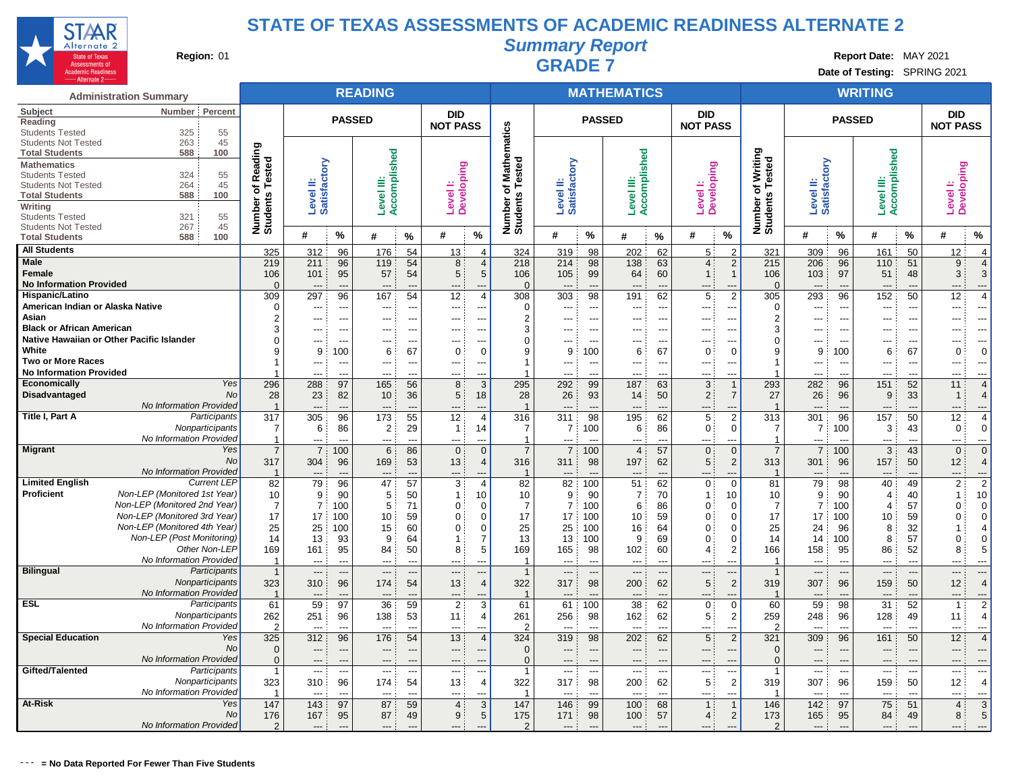

**Summary Report**

**Region:** 01 **Region:** 01 **Region:** 01 **Report Region:** 01 **Report Report Report Report Date:** MAY 2021 **Date of Testing:** SPRING 2021

| <b>Administration Summary</b>                                                  |                         |                          |                          | <b>READING</b>           |                          |                        |                     |                       |                           |                          | <b>MATHEMATICS</b>       |                          |                                             |                                                    |                           |                          | <b>WRITING</b>        |                          |                          |                       |
|--------------------------------------------------------------------------------|-------------------------|--------------------------|--------------------------|--------------------------|--------------------------|------------------------|---------------------|-----------------------|---------------------------|--------------------------|--------------------------|--------------------------|---------------------------------------------|----------------------------------------------------|---------------------------|--------------------------|-----------------------|--------------------------|--------------------------|-----------------------|
| Subject<br>Number Percent<br>Reading                                           |                         |                          |                          | <b>PASSED</b>            |                          | <b>DID</b>             |                     |                       |                           | <b>PASSED</b>            |                          |                          | <b>DID</b>                                  |                                                    |                           | <b>PASSED</b>            |                       |                          | <b>DID</b>               |                       |
| 55<br><b>Students Tested</b><br>325                                            |                         |                          |                          |                          |                          | <b>NOT PASS</b>        |                     | athematics            |                           |                          |                          |                          | <b>NOT PASS</b>                             |                                                    |                           |                          |                       |                          | <b>NOT PASS</b>          |                       |
| <b>Students Not Tested</b><br>263<br>45                                        |                         |                          |                          |                          |                          |                        |                     |                       |                           |                          |                          |                          |                                             |                                                    |                           |                          |                       |                          |                          |                       |
| 588<br>100<br><b>Total Students</b>                                            | Reading<br>ested        |                          |                          | Accomplished             |                          |                        |                     |                       |                           |                          | Accomplished             |                          |                                             | of Writing<br>Number of Writing<br>Students Tested |                           |                          | Accomplished          |                          |                          |                       |
| <b>Mathematics</b><br>324<br>55<br><b>Students Tested</b>                      |                         |                          |                          |                          |                          |                        |                     | ested                 |                           |                          |                          |                          |                                             |                                                    |                           |                          |                       |                          |                          |                       |
| 45<br><b>Students Not Tested</b><br>264                                        | ৳<br>⊢                  | ≝                        |                          | ≝                        |                          |                        |                     | Σ<br>⊢<br>৳           |                           |                          | Ë                        |                          |                                             |                                                    |                           |                          | ≝                     |                          |                          |                       |
| 588<br>100<br><b>Total Students</b>                                            | Number of<br>Students   | Satisfactory<br>Level    |                          | Level                    |                          | Level I:<br>Developing |                     | Number o<br>Students  | Level II:<br>Satisfactory |                          | Level                    |                          | Level I:<br>Developing                      |                                                    | Level II:<br>Satisfactory |                          | Level                 |                          | Level I:<br>Developing   |                       |
| Writing                                                                        |                         |                          |                          |                          |                          |                        |                     |                       |                           |                          |                          |                          |                                             |                                                    |                           |                          |                       |                          |                          |                       |
| 321<br>55<br><b>Students Tested</b>                                            |                         |                          |                          |                          |                          |                        |                     |                       |                           |                          |                          |                          |                                             |                                                    |                           |                          |                       |                          |                          |                       |
| 267<br>45<br><b>Students Not Tested</b><br>100<br><b>Total Students</b><br>588 |                         | #                        | %                        | #                        | $\frac{0}{2}$            | #                      | $\%$                |                       | #                         | %                        | #                        | %                        | $\%$<br>#                                   |                                                    | #                         | %                        | #                     | %                        | #                        | %                     |
| <b>All Students</b>                                                            |                         |                          |                          |                          |                          |                        |                     |                       |                           |                          |                          |                          |                                             |                                                    |                           |                          |                       |                          |                          |                       |
| Male                                                                           | 325                     | 312                      | 96                       | 176                      | 54                       | 13                     | $\overline{4}$      | 324                   | 319                       | 98                       | 202                      | 62                       | 5<br>2                                      | 321                                                | 309                       | 96                       | 161                   | 50                       | 12                       | $\overline{4}$        |
| Female                                                                         | 219<br>106              | 211<br>101               | 96<br>95                 | 119<br>57                | 54<br>54                 | 8<br>5                 | $\overline{4}$<br>5 | 218<br>106            | 214<br>105                | 98<br>99                 | 138<br>64                | 63<br>60                 | 4:<br>2<br>$\overline{1}$ :<br>$\mathbf{1}$ | 215<br>106                                         | 206<br>103                | 96<br>97                 | 110<br>51             | 51<br>48                 | 9<br>3                   | $\overline{4}$<br>3   |
| <b>No Information Provided</b>                                                 | $\Omega$                | ---                      | $\overline{\phantom{a}}$ | ---                      | --                       | ---                    |                     | $\Omega$              |                           |                          |                          | ---                      |                                             | $\Omega$                                           |                           | ---                      | ---                   |                          | ---                      | ---                   |
| Hispanic/Latino                                                                | 309                     | 297                      | 96                       | 167                      | 54                       | 12                     | 4                   | 308                   | 303                       | 98                       | 191                      | 62                       | 2<br>5                                      | 305                                                | 293                       | 96                       | 152                   | 50                       | 12                       | $\overline{4}$        |
| American Indian or Alaska Native                                               | $\Omega$                | ---                      | ---                      | ---                      | ---                      | ---                    |                     | $\Omega$              | ---                       | ---                      | ---                      | ---                      | ---<br>---                                  | $\Omega$                                           | $\overline{a}$            | ---                      | $\overline{a}$        | ---                      | ---                      | ---                   |
| Asian                                                                          | $\overline{2}$          | ---                      | ---                      | ---                      | -−                       |                        |                     | $\overline{2}$        |                           |                          | ---                      | $\overline{a}$           | $\overline{a}$                              | $\overline{2}$                                     | ---                       | $\overline{a}$           |                       |                          | ---                      | ---                   |
| <b>Black or African American</b>                                               |                         | ---                      | ---                      | ---                      | ---                      | ---                    |                     | 3                     |                           |                          | ---                      | ---                      | ---<br>---                                  | 3                                                  | $---$                     | ---                      | ---                   |                          | ---                      | ---                   |
| Native Hawaiian or Other Pacific Islander                                      |                         | ---                      | ---                      | ---                      | ---                      | ---                    |                     | $\Omega$              | ---                       |                          | ---                      | ---                      | ---<br>---                                  | $\mathbf 0$                                        | ---                       | $\overline{\phantom{a}}$ | ---                   | ---                      | ---                      | ---                   |
| White                                                                          |                         | 9                        | 100                      | 6                        | 67                       | 0                      | $\Omega$            | 9                     | 9                         | 100                      | 6                        | 67                       | $\mathbf 0$<br>$\Omega$                     | 9                                                  | 9                         | 100                      | 6                     | 67                       | $\mathbf 0$              | $\mathbf 0$           |
| <b>Two or More Races</b><br><b>No Information Provided</b>                     |                         | $---$                    | --                       | ---                      | ---                      | ---                    | ---                 | 1                     | ---                       |                          | $\overline{a}$           | $\overline{\phantom{a}}$ | ---<br>---                                  | $\mathbf{1}$                                       | $---$                     | ---                      | $\overline{a}$        | $\overline{a}$           | ---                      | $\overline{a}$        |
| <b>Economically</b>                                                            | Yes<br>296              | ---<br>288               | $\overline{a}$<br>97     | ---<br>165               | $\overline{a}$<br>56     | ---<br>8               | $\overline{a}$<br>3 | 295                   | ---<br>292                | $\overline{a}$<br>99     | ---<br>187               | $\overline{a}$<br>63     | $\overline{a}$<br>$---$<br>3                | 293                                                | $\overline{a}$<br>282     | $\overline{a}$<br>96     | $---$<br>151          | $---$<br>52              | ---<br>11                | ---<br>$\overline{4}$ |
| Disadvantaged                                                                  | No<br>28                | 23                       | 82                       | 10                       | 36                       | 5                      | 18                  | 28                    | 26                        | 93                       | 14                       | 50                       | 2:<br>$\overline{7}$                        | 27                                                 | 26                        | 96                       | 9                     | 33                       | $\mathbf{1}$             | $\overline{4}$        |
| No Information Provided                                                        | -1                      | $\overline{\phantom{a}}$ | $\overline{a}$           | $\overline{\phantom{a}}$ | $\overline{a}$           | ---                    |                     | $\overline{1}$        | $---$                     | $\overline{a}$           | $\overline{a}$           | $\overline{\phantom{a}}$ | $\overline{\phantom{a}}$                    | $\overline{1}$                                     | $---$                     | $\overline{\phantom{a}}$ | $\overline{a}$        | $\overline{\phantom{a}}$ | ---                      | ---                   |
| Title I, Part A<br>Participants                                                | 317                     | 305                      | 96                       | 173                      | 55                       | 12                     | $\overline{4}$      | 316                   | 311                       | 98                       | 195                      | 62                       | $\overline{2}$<br>5                         | 313                                                | 301                       | 96                       | 157                   | 50                       | 12                       | $\overline{4}$        |
| Nonparticipants                                                                | 7                       | 6                        | 86                       | $\overline{2}$           | 29                       | $\mathbf{1}$           | 14                  | $\overline{7}$        | $\overline{7}$            | 100                      | 6                        | 86                       | $\mathbf{0}$<br>$\mathbf 0$                 | $\overline{7}$                                     | $\overline{7}$            | 100                      | 3                     | 43                       | $\mathbf 0$              | $\Omega$              |
| No Information Provided                                                        | $\mathbf 1$             | ---                      | ---                      | ---                      | $\overline{a}$           | ---                    | $\overline{a}$      | $\overline{1}$        | ---                       |                          | ---                      | ---                      | $\overline{a}$<br>$\overline{a}$            | $\mathbf{1}$                                       | $\overline{\phantom{a}}$  | ---                      | $\overline{a}$        | ---                      | ---                      | ---                   |
| <b>Migrant</b>                                                                 | Yes<br>$\overline{7}$   | $\overline{7}$           | 100                      | 6                        | 86                       | $\mathbf 0$            | $\Omega$            | $\overline{7}$        | $\overline{7}$            | 100                      | $\overline{4}$           | 57                       | $\mathbf{0}$<br>$\Omega$                    | $\overline{7}$                                     | $\overline{7}$            | 100                      | 3                     | 43                       | $\mathbf 0$              | $\Omega$              |
|                                                                                | No<br>317               | 304                      | 96                       | 169                      | 53                       | 13                     | $\overline{4}$      | 316                   | 311                       | 98                       | 197                      | 62                       | 5 <sup>1</sup><br>$\overline{2}$            | 313                                                | 301                       | 96                       | 157                   | 50                       | 12                       | 4                     |
| No Information Provided                                                        |                         | ---                      | --                       | ---                      | --                       | ---                    |                     |                       | ---                       |                          | $\overline{a}$           |                          | $\overline{\phantom{a}}$                    | $\overline{1}$                                     | ---                       | ---                      | $\overline{a}$        |                          | ---                      | ---                   |
| <b>Current LEP</b><br><b>Limited English</b><br>Non-LEP (Monitored 1st Year)   | 82                      | 79                       | 96                       | 47                       | 57                       | 3                      | $\overline{4}$      | 82                    | 82                        | 100                      | 51                       | 62                       | $\mathbf{0}$<br>$\mathbf 0$                 | 81                                                 | 79                        | 98                       | 40                    | 49                       | $\overline{2}$           | $\overline{2}$        |
| <b>Proficient</b><br>Non-LEP (Monitored 2nd Year)                              | 10<br>$\overline{7}$    | 9<br>$\overline{7}$      | 90                       | 5                        | 50                       | 1:                     | 10<br>$\Omega$      | 10<br>$\overline{7}$  | 9<br>$\overline{7}$       | 90                       | $\overline{7}$           | 70                       | 10<br>$\mathbf{1}$<br>$\Omega$              | 10                                                 | 9<br>$\overline{7}$       | 90                       | 4                     | 40                       | $\mathbf{1}$<br>$\Omega$ | 10                    |
| Non-LEP (Monitored 3rd Year)                                                   | 17                      | 17                       | 100<br>100               | 5<br>10                  | 71<br>59                 | 0<br>$\mathbf 0$       | 0                   | 17                    | 17                        | 100<br>100               | 6<br>10                  | 86<br>59                 | $\mathbf{0}$<br>$\mathbf{0}$<br>$\Omega$    | 7<br>17                                            | 17                        | 100<br>100               | 4<br>10               | 57<br>59                 | $\mathbf 0$              | 0<br>$\mathbf 0$      |
| Non-LEP (Monitored 4th Year)                                                   | 25                      | 25                       | 100                      | 15                       | 60                       | 0                      | 0                   | 25                    | 25                        | 100                      | 16                       | 64                       | $\mathbf{0}$<br>0                           | 25                                                 | 24                        | 96                       | 8                     | 32                       | $\mathbf{1}$             | $\overline{4}$        |
| Non-LEP (Post Monitoring)                                                      | 14                      | 13                       | 93                       | 9                        | 64                       | 1:                     | 7                   | 13                    | 13                        | 100                      | 9                        | 69                       | 0<br>$\Omega$                               | 14                                                 | 14                        | 100                      | 8                     | 57                       | $\mathbf 0$              | 0                     |
| Other Non-LEP                                                                  | 169                     | 161                      | 95                       | 84                       | 50                       | 8                      | 5                   | 169                   | 165                       | 98                       | 102                      | 60                       | $\overline{4}$<br>2                         | 166                                                | 158                       | 95                       | 86                    | 52                       | 8                        | 5                     |
| No Information Provided                                                        | -1                      | $---$                    | $\overline{a}$           | $\overline{a}$           | $\overline{a}$           | ---                    | ---                 | $\overline{1}$        | $---$                     | $\overline{a}$           | $---$                    | $\overline{a}$           | $\overline{a}$<br>$---$                     | $\mathbf{1}$                                       | $---$                     | ---                      | $---$                 | $\overline{a}$           | ---                      | ---                   |
| <b>Bilingual</b><br>Participants                                               |                         | ---                      | ---                      | ---                      | $\overline{\phantom{a}}$ | ---                    |                     | $\overline{1}$        | ---                       | $\overline{\phantom{a}}$ | $\overline{\phantom{a}}$ | $\overline{\phantom{a}}$ | ---<br>$\overline{\phantom{a}}$             | $\mathbf{1}$                                       | $\overline{\phantom{a}}$  | ---                      | ---                   | ---                      | ---                      | ---                   |
| Nonparticipants                                                                | 323                     | 310                      | 96                       | 174                      | 54                       | 13                     | $\overline{4}$      | 322                   | 317                       | 98                       | 200                      | 62                       | 5<br>$\overline{2}$                         | 319                                                | 307                       | 96                       | 159                   | 50                       | 12                       | $\overline{4}$        |
| No Information Provided                                                        |                         | ---                      |                          |                          | --                       |                        |                     | $\overline{1}$        |                           |                          |                          |                          |                                             | $\overline{\mathbf{1}}$                            |                           | ---                      |                       |                          | ---                      | ---                   |
| <b>ESL</b><br>Participants                                                     | 61                      | 59                       | 97                       | 36                       | 59                       | $\overline{2}$         | 3                   | 61                    | 61                        | 100                      | 38                       | 62                       | $\mathbf{0}$<br>$\Omega$                    | 60                                                 | 59                        | 98                       | 31                    | 52                       | $\overline{1}$           | $\overline{2}$        |
| Nonparticipants<br>No Information Provided                                     | 262<br>$\overline{2}$   | 251<br>---               | 96<br>$\overline{a}$     | 138<br>$\overline{a}$    | 53<br>-−                 | 11<br>---              | 4                   | 261<br>$\overline{2}$ | 256<br>---                | 98                       | 162<br>$\overline{a}$    | 62<br>---                | 5 <sup>1</sup><br>2<br>$\overline{a}$       | 259<br>$\overline{2}$                              | 248                       | 96<br>$\overline{a}$     | 128<br>$\overline{a}$ | 49                       | 11<br>---                | $\overline{4}$<br>-−∙ |
| <b>Special Education</b>                                                       | 325<br>Yes              | 312                      | 96                       | 176                      | 54                       | 13                     | $\overline{4}$      | 324                   | 319                       | 98                       | 202                      | 62                       | 5 <sup>5</sup><br>$\overline{2}$            | 321                                                | 309                       | 96                       | 161                   | 50                       | 12                       | $\overline{4}$        |
|                                                                                | No<br>$\overline{0}$    | ---                      |                          | ---                      | ---                      | ---                    |                     | $\overline{0}$        | ---                       |                          | $\overline{\phantom{a}}$ | $\overline{\phantom{a}}$ | ---                                         | $\overline{0}$                                     | $\overline{\phantom{a}}$  | ---                      | ---                   |                          | ---                      | ---                   |
| No Information Provided                                                        | $\mathbf{0}$            | $---$                    | ---                      | ---                      | ---                      | $---$                  |                     | $\Omega$              | $\overline{\phantom{a}}$  | ---                      | $---$                    | $\overline{a}$           | $\overline{\phantom{a}}$<br>---             | $\Omega$                                           | $---$                     | ---                      | $---$                 | ---                      | ---                      | ---                   |
| Gifted/Talented<br>Participants                                                | $\mathbf{1}$            | $---$                    | $\overline{a}$           | ---                      | ---                      | ---                    | $---$               | $\overline{1}$        | $---$                     | ---                      | $---$                    | $---$                    | $---$<br>$\overline{\phantom{a}}$           | $\overline{1}$                                     | $---$                     | ---                      | $---$                 | $---$                    | ---                      | $\overline{a}$        |
| Nonparticipants                                                                | 323                     | 310                      | 96                       | 174                      | 54                       | 13                     | $\overline{4}$      | 322                   | 317                       | 98                       | 200                      | 62                       | 5<br>$\overline{\mathbf{c}}$                | 319                                                | 307                       | 96                       | 159                   | 50                       | 12                       | $\overline{4}$        |
| No Information Provided                                                        | $\overline{\mathbf{1}}$ | $---$                    | $\overline{a}$           | ---                      | ---                      | ---                    |                     | $\overline{1}$        | $---$                     | $\overline{a}$           | $---$                    | $\overline{\phantom{a}}$ | $\overline{a}$                              | $\overline{1}$                                     | ---                       | $\overline{a}$           | ---                   | $\overline{a}$           | ---                      | ---                   |
| At-Risk                                                                        | Yes<br>147              | 143                      | 97                       | 87                       | 59                       | $\overline{4}$         | 3                   | 147                   | 146                       | 99                       | 100                      | 68                       | 1:                                          | 146                                                | 142                       | 97                       | 75                    | 51                       | $\overline{4}$           | 3                     |
|                                                                                | No<br>176               | 167                      | 95                       | 87                       | 49                       | 9                      | 5                   | 175                   | 171                       | 98                       | 100                      | 57                       | 4:<br>$\overline{2}$                        | 173                                                | 165                       | 95                       | 84                    | 49                       | 8                        | 5                     |
| No Information Provided                                                        |                         | $---$                    |                          | $\overline{a}$           | $\overline{\phantom{a}}$ | ---                    |                     | $\mathcal{P}$         |                           |                          | $---$                    |                          | $\overline{\phantom{a}}$                    | $\mathcal{P}$                                      | $---$                     | $-$                      | $---$                 |                          | ---                      | ---                   |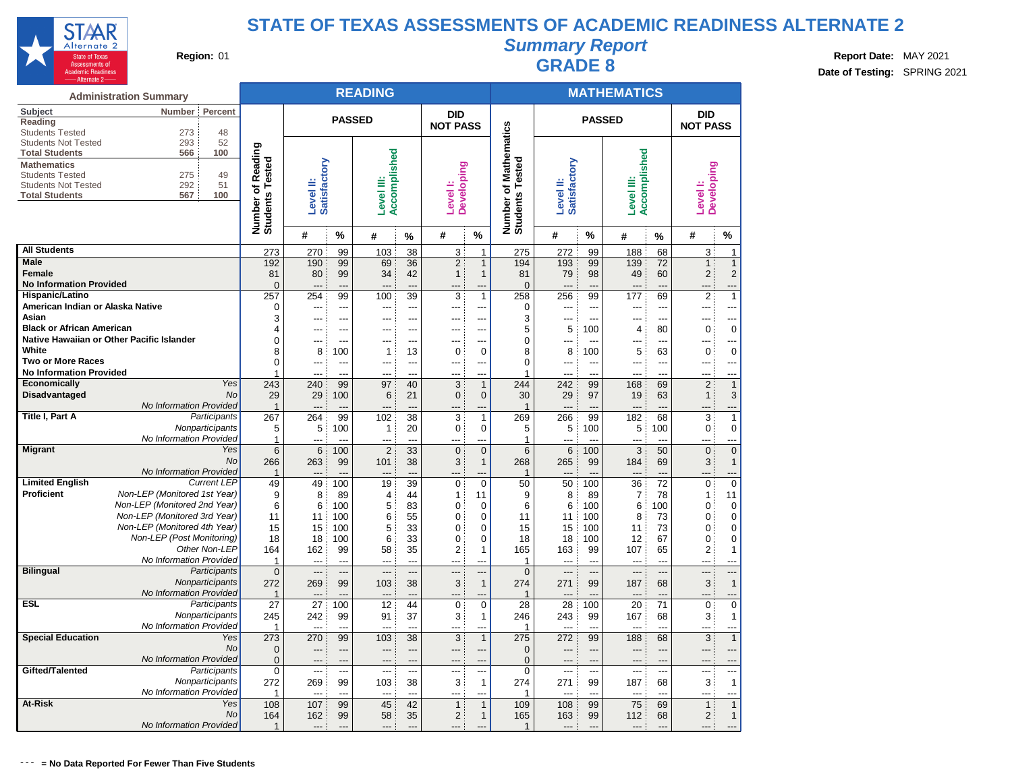

# **Summary Report Region:** 01 **Region:** 01 **Region:** 01 **Report Bate:** MAY 2021 **Region:** 01 **Report Date:** MAY 2021 **RADE 8 Date: Report Date: MAY 2021**

**Date of Testing:** SPRING 2021

|                                                      | <b>Administration Summary</b>                                |                                    |                       |                         | <b>READING</b>        |                |                          |                                  |                                    |                                   |                | <b>MATHEMATICS</b>       |                       |                      |                            |
|------------------------------------------------------|--------------------------------------------------------------|------------------------------------|-----------------------|-------------------------|-----------------------|----------------|--------------------------|----------------------------------|------------------------------------|-----------------------------------|----------------|--------------------------|-----------------------|----------------------|----------------------------|
| Subject<br>Reading                                   | Number<br>Percent                                            |                                    |                       | <b>PASSED</b>           |                       |                | <b>DID</b>               |                                  |                                    |                                   | <b>PASSED</b>  |                          |                       | <b>DID</b>           |                            |
| <b>Students Tested</b><br><b>Students Not Tested</b> | 273<br>48<br>293<br>52                                       |                                    |                       |                         |                       |                | <b>NOT PASS</b>          |                                  | <b>Mathematics</b>                 |                                   |                |                          |                       | <b>NOT PASS</b>      |                            |
| <b>Total Students</b>                                | 566<br>100                                                   | Reading                            |                       |                         |                       |                |                          |                                  |                                    |                                   |                |                          |                       |                      |                            |
| <b>Mathematics</b><br><b>Students Tested</b>         | 275<br>49                                                    | Number of Readi<br>Students Tested | Satisfactory          |                         | Accomplished          |                | <b>Developing</b>        |                                  | Number of Mathe<br>Students Tested | Satisfactory                      |                | Accomplished             |                       | <b>Developing</b>    |                            |
| <b>Students Not Tested</b>                           | 292<br>51                                                    |                                    |                       |                         |                       |                |                          |                                  |                                    |                                   |                |                          |                       |                      |                            |
| <b>Total Students</b>                                | 567<br>100                                                   |                                    | Level II:             |                         | Level III:            |                | Level I:                 |                                  |                                    | Level II:                         |                | Level III:               |                       | Level <sup>1</sup> : |                            |
|                                                      |                                                              |                                    |                       |                         |                       |                |                          |                                  |                                    |                                   |                |                          |                       |                      |                            |
|                                                      |                                                              |                                    | #                     | %                       | #                     | %              | #                        | %                                |                                    | #                                 | $\frac{0}{0}$  | #                        | %                     | #                    | %                          |
| <b>All Students</b>                                  |                                                              | 273                                | 270                   | 99                      | 103                   | 38             | 3                        | 1                                | 275                                | 272                               | 99             | 188                      | 68                    | 3                    | $\mathbf{1}$               |
| <b>Male</b><br><b>Female</b>                         |                                                              | 192                                | 190                   | 99                      | 69                    | 36             | $\overline{2}$           | $\mathbf{1}$                     | 194                                | 193                               | 99             | 139                      | 72                    | 1                    | $\mathbf{1}$               |
| <b>No Information Provided</b>                       |                                                              | 81<br>$\overline{0}$               | 80                    | 99<br>$\overline{a}$    | 34                    | 42<br>         | $\mathbf{1}$             | 1<br>---                         | 81<br>$\Omega$                     | 79<br>$---$                       | 98<br>---      | 49<br>$---$              | 60<br>---             | $\overline{2}$       | $\overline{2}$<br>---      |
| Hispanic/Latino                                      |                                                              | 257                                | 254                   | 99                      | 100                   | 39             | 3                        | $\mathbf{1}$                     | 258                                | 256                               | 99             | 177                      | 69                    | 2                    | $\mathbf{1}$               |
| American Indian or Alaska Native                     |                                                              | 0                                  | ---                   | ---                     |                       | ---            |                          | ---                              | 0                                  |                                   | ---            | ---                      | ---                   |                      | ---                        |
| Asian                                                |                                                              | 3                                  | ---                   | ---                     | ---                   | ---            | ---                      | ---                              | 3                                  | ---                               | ---            | $\overline{a}$           | ---                   |                      | ---                        |
| <b>Black or African American</b>                     |                                                              | 4                                  | ---                   | ---                     | ---                   | ---            | ---                      | ---                              | 5                                  | 5                                 | 100            | 4                        | 80                    | $\mathbf 0$          | $\mathbf 0$                |
| White                                                | Native Hawaiian or Other Pacific Islander                    | 0                                  | ---                   | ---                     | ---                   | ---            | ---                      | ---                              | $\Omega$                           | ---                               | ---            | $---$                    | ---                   | $---$                | ---                        |
| <b>Two or More Races</b>                             |                                                              | 8<br>$\Omega$                      | 8<br>$\overline{a}$   | 100<br>$\overline{a}$   | 1<br>---              | 13<br>---      | 0<br>---                 | 0<br>$\overline{a}$              | 8<br>$\Omega$                      | 8<br>$\overline{a}$               | 100<br>---     | 5<br>---                 | 63<br>---             | 0<br>$\overline{a}$  | $\mathbf 0$<br>---         |
| <b>No Information Provided</b>                       |                                                              | 1                                  | ---                   | ---                     | ---                   | $\overline{a}$ | $-$ --                   | $\sim$                           | 1                                  | ---                               | $\overline{a}$ | $- - -$                  | ---                   | ---                  | ---                        |
| Economically                                         | Yes                                                          | 243                                | 240                   | 99                      | 97                    | 40             | 3                        | $\mathbf{1}$                     | 244                                | 242                               | 99             | 168                      | 69                    | 2                    | $\mathbf{1}$               |
| Disadvantaged                                        | <b>No</b>                                                    | 29                                 | 29                    | 100                     | 6                     | 21             | 0                        | $\mathbf 0$                      | 30                                 | 29                                | 97             | 19                       | 63                    | 1                    | 3                          |
|                                                      | No Information Provided                                      | $\mathbf{1}$                       | $\overline{a}$        |                         | ---                   | ---            | ---                      | ---                              | $\overline{1}$                     | $---$                             | ---            | $---$                    | ---                   |                      | ---                        |
| Title I, Part A                                      | Participants                                                 | 267                                | 264                   | 99                      | 102                   | 38             | 3                        | $\mathbf{1}$                     | 269                                | 266                               | 99             | 182                      | 68                    | 3                    | $\mathbf{1}$               |
|                                                      | Nonparticipants<br>No Information Provided                   | 5<br>$\mathbf{1}$                  | 5                     | 100                     | 1                     | 20             | 0                        | 0                                | 5<br>1                             | 5                                 | 100            | 5                        | 100                   | 0                    | $\mathbf 0$<br>---         |
| <b>Migrant</b>                                       | Yes                                                          | 6                                  | 6                     | 100                     | $\overline{2}$        | 33             | $\overline{0}$           | $\overline{0}$                   | 6                                  | 6                                 | 100            | 3                        | 50                    | $\overline{0}$       | $\overline{0}$             |
|                                                      | No                                                           | 266                                | 263                   | 99                      | 101                   | 38             | 3                        | $\mathbf{1}$                     | 268                                | 265                               | 99             | 184                      | 69                    | 3 <sup>1</sup>       | $\mathbf{1}$               |
|                                                      | No Information Provided                                      | $\mathbf{1}$                       |                       |                         |                       |                |                          |                                  | $\overline{\mathbf{1}}$            |                                   |                |                          |                       |                      | ---                        |
| <b>Limited English</b>                               | <b>Current LEP</b>                                           | 49                                 | 49                    | 100                     | 19                    | 39             | $\mathbf 0$              | $\overline{0}$                   | 50                                 | 50                                | 100            | 36                       | 72                    | 0                    | $\overline{0}$             |
| Proficient                                           | Non-LEP (Monitored 1st Year)<br>Non-LEP (Monitored 2nd Year) | 9<br>6                             | 8                     | 89                      | 4                     | 44             | 1                        | 11                               | 9<br>6                             | 8                                 | 89<br>100      | $\overline{7}$           | 78<br>100             | 1                    | 11                         |
|                                                      | Non-LEP (Monitored 3rd Year)                                 | 11                                 | 6<br>11               | 100<br>100              | 5<br>6                | 83<br>55       | 0<br>0                   | 0<br>0                           | 11                                 | 6<br>11                           | 100            | 6<br>8                   | 73                    | 0<br>0               | $\mathbf 0$<br>$\mathbf 0$ |
|                                                      | Non-LEP (Monitored 4th Year)                                 | 15                                 | 15                    | 100                     | 5                     | 33             | 0                        | $\mathbf 0$                      | 15                                 | 15                                | 100            | 11                       | 73                    | 0                    | 0                          |
|                                                      | Non-LEP (Post Monitoring)                                    | 18                                 | 18                    | 100                     | 6                     | 33             | 0                        | $\mathbf 0$                      | 18                                 | 18                                | 100            | 12                       | 67                    | 0                    | $\overline{0}$             |
|                                                      | Other Non-LEP                                                | 164                                | 162                   | 99                      | 58                    | 35             | 2                        | $\mathbf{1}$                     | 165                                | 163                               | 99             | 107                      | 65                    | 2                    | $\mathbf{1}$               |
|                                                      | No Information Provided                                      | 1                                  | $\sim$                | $\sim$                  | $\sim$                | $\sim$         | $\sim$                   | $-1$                             | 1                                  | $-$ --                            | $\sim$         | $---$                    | $\sim$                | $-$                  | ---                        |
| <b>Bilingual</b>                                     | Participants<br>Nonparticipants                              | 0                                  | $\overline{a}$        | ---                     | ---                   | ---            | $---$                    | ---                              | $\overline{0}$                     | $---$                             | ---            | $---$                    | ---                   | ---                  |                            |
|                                                      | No Information Provided                                      | 272<br>$\mathbf 1$                 | 269                   | 99<br>---               | 103                   | 38<br>---      | 3<br>---                 | $\mathbf{1}$<br>---              | 274<br>$\mathbf 1$                 | 271<br>---                        | 99             | 187<br>---               | 68<br>---             | 3                    | $\mathbf{1}$<br>---        |
| <b>ESL</b>                                           | Participants                                                 | 27                                 | 27                    | 100                     | 12                    | 44             | 0                        | $\mathbf 0$                      | 28                                 | 28                                | 100            | 20                       | 71                    | 0                    | $\overline{0}$             |
|                                                      | Nonparticipants                                              | 245                                | 242                   | 99                      | 91                    | 37             | 3                        | $\mathbf{1}$                     | 246                                | 243                               | 99             | 167                      | 68                    | 3                    | $\mathbf{1}$               |
|                                                      | No Information Provided                                      | 1                                  |                       |                         | ---                   |                | ---                      | ---                              | 1                                  | ---                               |                | $---$                    |                       |                      | ---                        |
| <b>Special Education</b>                             | Yes                                                          | 273                                | 270                   | 99                      | 103                   | 38             | 3                        | $\mathbf{1}$                     | 275                                | 272                               | 99             | 188                      | 68                    | $\mathbf{3}$         | $\mathbf{1}$               |
|                                                      | No                                                           | 0                                  | ---                   | ---                     | ---                   | ---            | ---                      | ---                              | $\overline{0}$                     | $---$                             | ---            | $---$                    | ---                   | $\overline{a}$       | ---                        |
| Gifted/Talented                                      | No Information Provided<br>Participants                      | $\mathbf 0$<br>$\mathbf 0$         | ---<br>$\overline{a}$ | $---$<br>$\overline{a}$ | ---<br>$\overline{a}$ | ---<br>---     | ---<br>---               | $\overline{a}$<br>$\overline{a}$ | $\overline{0}$<br>$\Omega$         | $---$<br>$\overline{\phantom{a}}$ | ---<br>---     | $---$<br>$\overline{a}$  | ---<br>$\overline{a}$ | $---$                | ---<br>---                 |
|                                                      | Nonparticipants                                              | 272                                | 269                   | 99                      | 103                   | 38             | 3                        | $\mathbf{1}$                     | 274                                | 271                               | 99             | 187                      | 68                    | 3                    | $\mathbf{1}$               |
|                                                      | No Information Provided                                      | 1                                  | $---$                 | $\sim$                  | ---                   | $\overline{a}$ | $\overline{\phantom{a}}$ | ---                              | 1                                  | $\overline{\phantom{a}}$          | $\sim$         | $\overline{\phantom{a}}$ | $\sim$                | $---$                | ---                        |
| At-Risk                                              | Yes                                                          | 108                                | 107                   | 99                      | 45                    | 42             | $\mathbf{1}$             | $\mathbf{1}$                     | 109                                | 108                               | 99             | 75                       | 69                    | $\mathbf{1}$         | $\overline{1}$             |
|                                                      | No                                                           | 164                                | 162                   | 99                      | 58                    | 35             | $\overline{\mathbf{c}}$  | $\mathbf{1}$                     | 165                                | 163                               | 99             | 112                      | 68                    | 2                    | $\mathbf{1}$               |
|                                                      | No Information Provided                                      | $\mathbf{1}$                       | $\overline{a}$        | $-$ ---                 | $---$                 | $-$ --         | $---$                    | $---$                            | 1                                  | $---$                             | ---            | $---$                    | ---                   | $---$                | ---                        |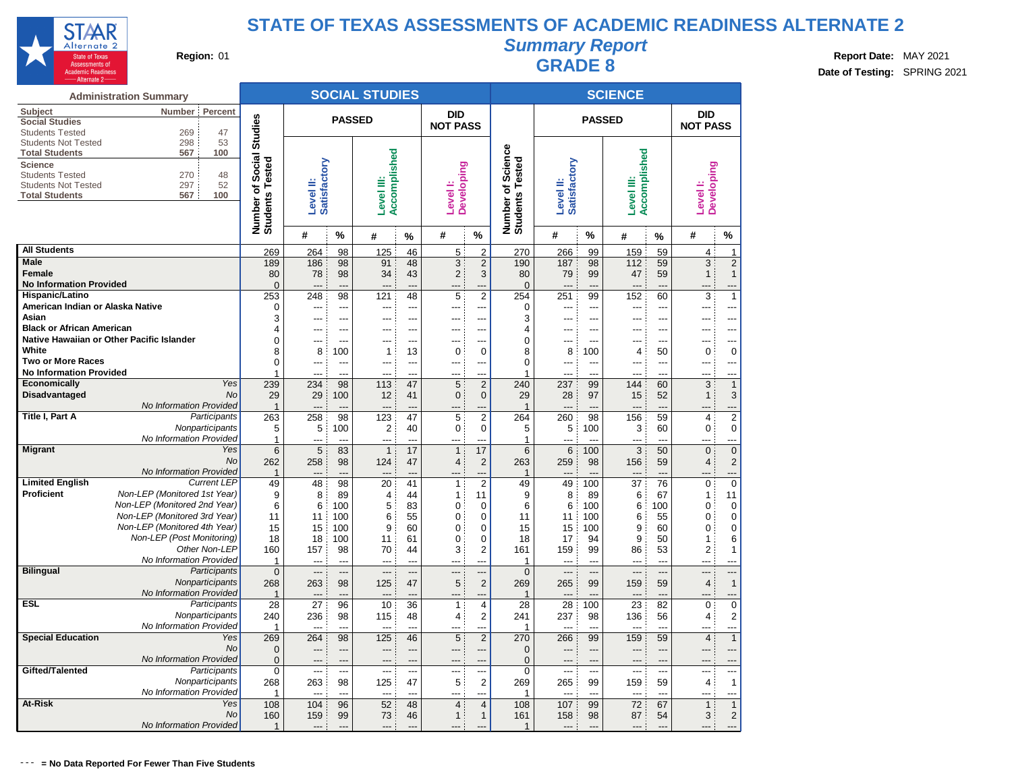

# **Summary Report**

**Region:** 01 **Region:** 01 **Region:** 01 **Report Bate:** MAY 2021 **Region:** 01 **Report Date:** MAY 2021 **RADE 8 Date: Report Date: MAY 2021 Date of Testing:** SPRING 2021

|                                                 | <b>Administration Summary</b>                                |                       |                          |                       | <b>SOCIAL STUDIES</b> |                |                                           |                                  |                                    |                          |                | <b>SCIENCE</b>                  |                      |                                           |                                |
|-------------------------------------------------|--------------------------------------------------------------|-----------------------|--------------------------|-----------------------|-----------------------|----------------|-------------------------------------------|----------------------------------|------------------------------------|--------------------------|----------------|---------------------------------|----------------------|-------------------------------------------|--------------------------------|
| Subject                                         | Number<br>Percent                                            |                       |                          | <b>PASSED</b>         |                       |                | <b>DID</b>                                |                                  |                                    |                          | <b>PASSED</b>  |                                 |                      | <b>DID</b>                                |                                |
| <b>Social Studies</b><br><b>Students Tested</b> | 269<br>47                                                    | <b>Studies</b>        |                          |                       |                       |                | <b>NOT PASS</b>                           |                                  |                                    |                          |                |                                 |                      | <b>NOT PASS</b>                           |                                |
| <b>Students Not Tested</b>                      | 298<br>53                                                    |                       |                          |                       |                       |                |                                           |                                  |                                    |                          |                |                                 |                      |                                           |                                |
| <b>Total Students</b>                           | 100<br>567                                                   |                       |                          |                       |                       |                |                                           |                                  | Science                            |                          |                |                                 |                      |                                           |                                |
| <b>Science</b>                                  |                                                              | Social:<br>ested      | Satisfactory             |                       | Accomplished          |                |                                           |                                  |                                    | <b>Satisfactory</b>      |                | Accomplished                    |                      |                                           |                                |
| <b>Students Tested</b>                          | 270<br>48                                                    |                       |                          |                       | ≝                     |                |                                           |                                  |                                    |                          |                |                                 |                      |                                           |                                |
| <b>Students Not Tested</b>                      | 297<br>52<br>100<br>567                                      | ৳<br>⊢                |                          |                       |                       |                |                                           |                                  |                                    |                          |                |                                 |                      |                                           |                                |
| <b>Total Students</b>                           |                                                              |                       | Level II:                |                       | Level                 |                | <b>Developing</b><br>Level <sub>1</sub> : |                                  |                                    | Level II:                |                | Level III:                      |                      | <b>Developing</b><br>Level <sup>1</sup> : |                                |
|                                                 |                                                              |                       |                          |                       |                       |                |                                           |                                  |                                    |                          |                |                                 |                      |                                           |                                |
|                                                 |                                                              | Number of<br>Students |                          |                       |                       |                |                                           |                                  | Number of Scien<br>Students Tested |                          |                |                                 |                      |                                           |                                |
|                                                 |                                                              |                       | #                        | %                     | #                     | %              | #                                         | $\%$                             |                                    | #                        | $\frac{9}{6}$  | #                               | %                    | #                                         | %                              |
| <b>All Students</b>                             |                                                              | 269                   | 264                      | 98                    | 125                   | 46             | 5                                         | $\overline{2}$                   | 270                                | 266                      | 99             | 159                             | 59                   | 4                                         | 1                              |
| <b>Male</b>                                     |                                                              | 189                   | 186                      | 98                    | 91                    | 48             | 3                                         | $\sqrt{2}$                       | 190                                | 187                      | 98             | 112                             | 59                   | 3                                         | $\overline{2}$                 |
| <b>Female</b><br><b>No Information Provided</b> |                                                              | 80                    | 78                       | 98                    | 34                    | 43             | $\overline{2}$                            | 3                                | 80                                 | 79                       | 99             | 47                              | 59                   | 1                                         | $\mathbf{1}$                   |
| Hispanic/Latino                                 |                                                              | $\mathbf 0$<br>253    | 248                      | $\overline{a}$<br>98  | ---<br>121            | 48             | 5                                         | $\overline{2}$                   | $\Omega$<br>254                    | $---$<br>251             | ---<br>99      | $\overline{\phantom{a}}$<br>152 | $\overline{a}$<br>60 | 3                                         | <br>1                          |
| American Indian or Alaska Native                |                                                              | $\mathbf 0$           | ---                      | ---                   | ---                   | ---            | ---                                       | ---                              | 0                                  | $---$                    | ---            | ---                             | ---                  | ---                                       | ---                            |
| Asian                                           |                                                              | 3                     | ---                      | $---$                 | ---                   | ---            | ---                                       | ---                              | 3                                  | ---                      | $\overline{a}$ | $---$                           | ---                  | ---                                       | ---                            |
| <b>Black or African American</b>                |                                                              | $\overline{4}$        | ---                      | $---$                 | ---                   | ---            | ---                                       | ---                              | 4                                  | $-$ --                   | ---            | $---$                           | ---                  | ---                                       | $\overline{\phantom{a}}$       |
|                                                 | Native Hawaiian or Other Pacific Islander                    | $\mathbf 0$           | $\overline{a}$           | $---$                 | ---                   | ---            | ---                                       | ---                              | 0                                  | ---                      | ---            | $---$                           | $---$                | ---                                       | ---                            |
| White                                           |                                                              | 8                     | 8                        | 100                   | 1                     | 13             | $\mathbf 0$                               | 0                                | 8                                  | 8                        | 100            | 4                               | 50                   | $\mathbf 0$                               | $\overline{0}$                 |
| <b>Two or More Races</b>                        |                                                              | $\Omega$              | $\overline{a}$           | $---$                 | ---                   | ---            | ---                                       | $---$                            | 0                                  | $\overline{a}$           | ---            | $---$                           | $\overline{a}$       | ---                                       | ---                            |
| <b>No Information Provided</b>                  |                                                              | 1                     | $\sim$                   | ---                   | ---                   | $\sim$         | ---                                       | $\overline{a}$                   | 1                                  | $\sim$                   | $\sim$         | $---$                           | $-$                  | ---                                       | ---                            |
| <b>Economically</b>                             | Yes                                                          | 239                   | 234                      | 98                    | 113                   | 47             | 5                                         | $\overline{2}$                   | 240                                | 237                      | 99             | 144                             | 60                   | 3                                         | $\mathbf{1}$                   |
| Disadvantaged                                   | <b>No</b><br>No Information Provided                         | 29<br>$\overline{1}$  | 29<br>$\overline{a}$     | 100<br>$\overline{a}$ | 12<br>---             | 41<br>$---$    | 0<br>---                                  | $\mathbf 0$<br>---               | 29<br>$\mathbf 1$                  | 28<br>$---$              | 97<br>---      | 15<br>$\overline{a}$            | 52<br>---            | $\mathbf{1}$<br>---                       | 3                              |
| Title I, Part A                                 | Participants                                                 | 263                   | 258                      | 98                    | 123                   | 47             | 5                                         | 2                                | 264                                | 260                      | 98             | 156                             | 59                   | $\overline{\mathbf{4}}$                   | <br>$\overline{2}$             |
|                                                 | Nonparticipants                                              | 5                     | 5                        | 100                   | $\overline{2}$        | 40             | 0                                         | $\mathbf 0$                      | 5                                  | 5                        | 100            | 3                               | 60                   | $\mathbf 0$                               | $\mathbf 0$                    |
|                                                 | No Information Provided                                      | $\mathbf{1}$          | ---                      | ---                   | ---                   | $\overline{a}$ | ---                                       | ---                              | 1                                  | $---$                    | ---            | $---$                           | $\overline{a}$       |                                           | ---                            |
| <b>Migrant</b>                                  | Yes                                                          | $6\phantom{1}$        | 5                        | 83                    | $\overline{1}$        | 17             | $\mathbf{1}$                              | 17                               | 6                                  | 6                        | 100            | 3                               | 50                   | $\Omega$                                  | $\overline{0}$                 |
|                                                 | No                                                           | 262                   | 258                      | 98                    | 124                   | 47             | 4                                         | $\sqrt{2}$                       | 263                                | 259                      | 98             | 156                             | 59                   | $\overline{4}$                            | $\overline{\mathbf{c}}$        |
|                                                 | No Information Provided                                      | $\overline{1}$        | $\overline{a}$           | $\overline{a}$        | ---                   | $---$          |                                           | ---                              | $\overline{1}$                     |                          |                | $\overline{\phantom{a}}$        | $---$                |                                           | ---                            |
| <b>Limited English</b>                          | <b>Current LEP</b>                                           | 49                    | 48                       | 98                    | 20                    | 41             | $\mathbf{1}$                              | $\overline{2}$                   | 49                                 | 49                       | 100            | 37                              | 76                   | 0                                         | $\overline{0}$                 |
| Proficient                                      | Non-LEP (Monitored 1st Year)<br>Non-LEP (Monitored 2nd Year) | 9                     | 8                        | 89                    | 4                     | 44             | 1                                         | 11                               | 9                                  | 8                        | 89             | 6                               | 67                   | $\mathbf{1}$                              | 11                             |
|                                                 | Non-LEP (Monitored 3rd Year)                                 | 6<br>11               | 6                        | 100                   | 5                     | 83             | 0                                         | 0                                | 6                                  | 6                        | 100            | 6                               | 100                  | 0                                         | 0<br>$\overline{0}$            |
|                                                 | Non-LEP (Monitored 4th Year)                                 | 15                    | 11<br>15                 | 100<br>100            | 6<br>9                | 55<br>60       | $\mathbf 0$<br>0                          | $\mathbf 0$<br>$\mathbf 0$       | 11<br>15                           | 11<br>15                 | 100<br>100     | 6<br>9                          | 55<br>60             | 0<br>0                                    | $\overline{0}$                 |
|                                                 | Non-LEP (Post Monitoring)                                    | 18                    | 18                       | 100                   | 11                    | 61             | 0                                         | $\mathbf 0$                      | 18                                 | 17                       | 94             | 9                               | 50                   | 1                                         | 6                              |
|                                                 | Other Non-LEP                                                | 160                   | 157                      | 98                    | 70                    | 44             | 3                                         | 2                                | 161                                | 159                      | 99             | 86                              | 53                   | 2                                         | $\mathbf{1}$                   |
|                                                 | No Information Provided                                      | -1                    | ---                      | ---                   | ---                   | $\overline{a}$ | ---                                       | ---                              | 1                                  | $\overline{a}$           | ---            | $\overline{\phantom{a}}$        | ---                  |                                           | ---                            |
| <b>Bilingual</b>                                | Participants                                                 | $\overline{0}$        | ---                      | ---                   | ---                   |                |                                           | ---                              | $\Omega$                           | ---                      | ---            | ---                             | ---                  | ---                                       |                                |
|                                                 | Nonparticipants                                              | 268                   | 263                      | 98                    | 125                   | 47             | 5                                         | 2                                | 269                                | 265                      | 99             | 159                             | 59                   | $\overline{4}$                            | $\overline{1}$                 |
|                                                 | No Information Provided                                      | $\mathbf{1}$          | ---                      |                       |                       |                |                                           | ---                              | 1                                  | $---$                    |                | $---$                           |                      |                                           |                                |
| ESL                                             | Participants<br>Nonparticipants                              | 28                    | 27                       | 96                    | 10                    | 36<br>48       | $\mathbf{1}$                              | $\overline{4}$<br>$\overline{2}$ | 28                                 | 28                       | 100<br>98      | 23                              | 82<br>56             | $\Omega$                                  | $\mathbf 0$                    |
|                                                 | No Information Provided                                      | 240<br>$\overline{1}$ | 236<br>$\overline{a}$    | 98<br>---             | 115<br>---            |                | $\overline{4}$<br>---                     | ---                              | 241<br>$\overline{1}$              | 237<br>---               | −−             | 136<br>$\overline{a}$           | ---                  | 4                                         | $\overline{\mathbf{c}}$<br>--- |
| <b>Special Education</b>                        | Yes                                                          | 269                   | 264                      | 98                    | 125                   | 46             | 5                                         | $\sqrt{2}$                       | 270                                | 266                      | 99             | 159                             | 59                   | $\overline{4}$                            | $\mathbf{1}$                   |
|                                                 | No                                                           | $\overline{0}$        | $---$                    | $\overline{a}$        | ---                   | ---            | ---                                       | ---                              | 0                                  | $---$                    | ---            | $---$                           | ---                  | ---                                       | ---                            |
|                                                 | No Information Provided                                      | $\mathbf 0$           | $\overline{\phantom{a}}$ | $\overline{a}$        | ---                   | $---$          | ---                                       | ---                              | $\Omega$                           | $\overline{\phantom{a}}$ | $\overline{a}$ | $\overline{\phantom{a}}$        | $---$                | ---                                       |                                |
| Gifted/Talented                                 | Participants                                                 | $\mathbf 0$           | $\overline{a}$           | ---                   | ---                   | $\overline{a}$ | $\overline{a}$                            | ---                              | $\Omega$                           | $\overline{\phantom{a}}$ | ---            | $\overline{a}$                  | $\overline{a}$       | ---                                       | $---$                          |
|                                                 | Nonparticipants                                              | 268                   | 263                      | 98                    | 125                   | 47             | 5                                         | 2                                | 269                                | 265                      | 99             | 159                             | 59                   | $\overline{4}$                            | $\mathbf{1}$                   |
|                                                 | No Information Provided                                      | -1                    | $\overline{\phantom{a}}$ | $---$                 | ---                   | $---$          | ---                                       | ---                              | 1                                  | $\overline{\phantom{a}}$ | ---            | $\overline{\phantom{a}}$        | ---                  | ---                                       | ---                            |
| At-Risk                                         | Yes                                                          | 108                   | 104                      | 96                    | 52                    | 48             | $\overline{4}$                            | $\overline{4}$                   | 108                                | 107                      | 99             | 72                              | 67                   | $\mathbf{1}$                              | $\overline{1}$                 |
|                                                 | No                                                           | 160                   | 159                      | 99                    | 73                    | 46             | $\mathbf{1}$                              | $\mathbf{1}$                     | 161                                | 158                      | 98             | 87                              | 54                   | 3                                         | $\overline{2}$                 |
|                                                 | No Information Provided                                      | $\overline{1}$        | $---$                    | $---$                 | ---                   |                | ---                                       | $---$                            | $\overline{1}$                     | $---$                    | ---            | $---$                           | $---$                |                                           | ---                            |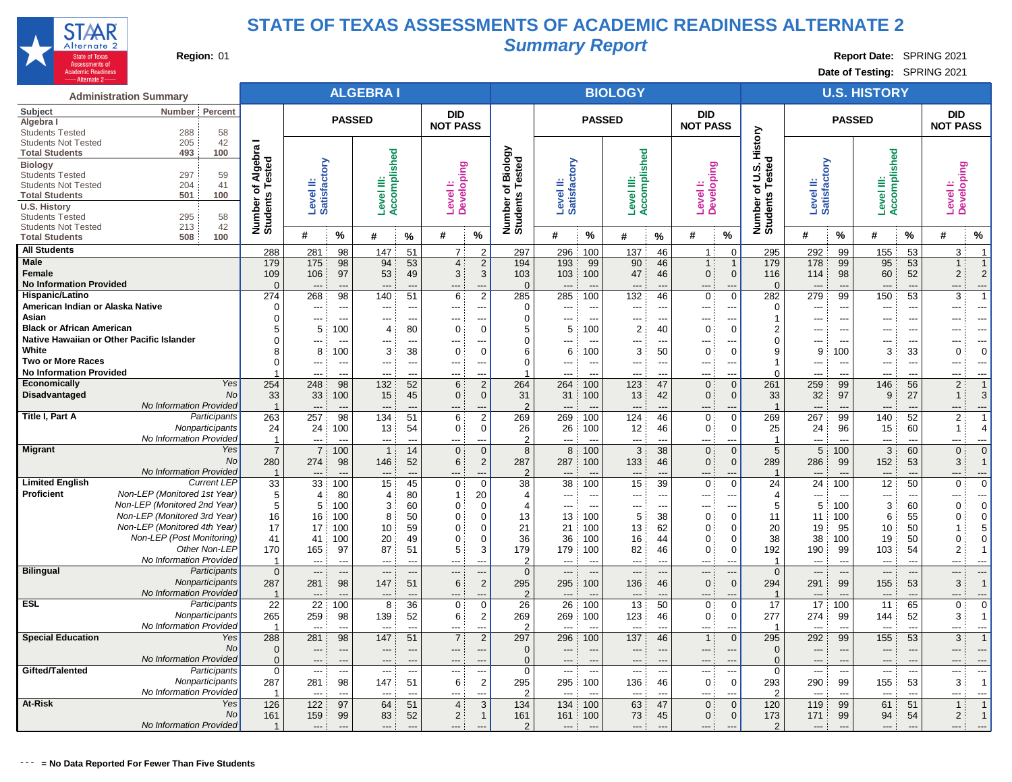

# **Summary Report**

**Region:** 01 **Region:** 01 **Region:** 01 **Region:** 01 **Region:** 01 **Region:** 01 **Report** Date: SPRING 2021

**Date of Testing:** SPRING 2021

|                                                     | <b>Administration Summary</b>                                |                         |                           |                          | <b>ALGEBRAI</b>          |                                |                                         |                                  |                                                |                           |                                 | <b>BIOLOGY</b>                 |                          |                                                                    |                               |                           |                                 | <b>U.S. HISTORY</b>   |                                |                               |                              |
|-----------------------------------------------------|--------------------------------------------------------------|-------------------------|---------------------------|--------------------------|--------------------------|--------------------------------|-----------------------------------------|----------------------------------|------------------------------------------------|---------------------------|---------------------------------|--------------------------------|--------------------------|--------------------------------------------------------------------|-------------------------------|---------------------------|---------------------------------|-----------------------|--------------------------------|-------------------------------|------------------------------|
| Subject<br>Algebra                                  | Percent<br>Number                                            |                         |                           | <b>PASSED</b>            |                          |                                | <b>DID</b><br><b>NOT PASS</b>           |                                  |                                                |                           | <b>PASSED</b>                   |                                |                          | <b>DID</b><br><b>NOT PASS</b>                                      |                               |                           | <b>PASSED</b>                   |                       |                                | <b>DID</b><br><b>NOT PASS</b> |                              |
| <b>Students Tested</b>                              | 288<br>58                                                    |                         |                           |                          |                          |                                |                                         |                                  |                                                |                           |                                 |                                |                          |                                                                    | History                       |                           |                                 |                       |                                |                               |                              |
| <b>Students Not Tested</b><br><b>Total Students</b> | 205<br>42<br>100<br>493                                      |                         |                           |                          |                          |                                |                                         |                                  |                                                |                           |                                 |                                |                          |                                                                    |                               |                           |                                 |                       |                                |                               |                              |
| <b>Biology</b>                                      |                                                              | of Algebra I<br>Fested  | Level II:<br>Satisfactory |                          | Accomplished             |                                |                                         |                                  | Biology<br>Number of Biolog<br>Students Tested | Level II:<br>Satisfactory |                                 | Accomplished                   |                          |                                                                    | ō<br><b>ဟ</b>                 | Level II:<br>Satisfactory |                                 | Accomplished          |                                | Level I:<br>Developing        |                              |
| <b>Students Tested</b>                              | 297<br>59                                                    |                         |                           |                          |                          |                                | Level I:<br>Developing                  |                                  |                                                |                           |                                 | Ë                              |                          | Developing                                                         | Tester<br>Б                   |                           |                                 | Ë                     |                                |                               |                              |
| <b>Students Not Tested</b><br><b>Total Students</b> | 204<br>41<br>501<br>100                                      | ৳                       |                           |                          |                          |                                |                                         |                                  |                                                |                           |                                 |                                |                          |                                                                    | ৳                             |                           |                                 |                       |                                |                               |                              |
| <b>U.S. History</b>                                 |                                                              | Number o<br>Students    |                           |                          | Level III:               |                                |                                         |                                  |                                                |                           |                                 | Level                          |                          | Level <sup>1</sup> :                                               | Number of<br>Students         |                           |                                 | Level                 |                                |                               |                              |
| <b>Students Tested</b>                              | 58<br>295                                                    |                         |                           |                          |                          |                                |                                         |                                  |                                                |                           |                                 |                                |                          |                                                                    |                               |                           |                                 |                       |                                |                               |                              |
| <b>Students Not Tested</b>                          | 42<br>213                                                    |                         | #                         | %                        |                          |                                | #                                       | %                                |                                                | #                         | $\%$                            |                                |                          | #<br>%                                                             |                               | #                         | %                               | #                     | %                              | #                             | %                            |
| <b>Total Students</b>                               | 508<br>100                                                   |                         |                           |                          | #                        | $\%$                           |                                         |                                  |                                                |                           |                                 | #                              | %                        |                                                                    |                               |                           |                                 |                       |                                |                               |                              |
| <b>All Students</b>                                 |                                                              | 288                     | 281                       | 98                       | 147                      | 51                             | $\overline{7}$                          | $\mathcal{P}$                    | 297                                            | 296                       | 100                             | 137                            | 46                       | $\mathbf{1}$ :<br>$\Omega$                                         | 295                           | 292                       | 99                              | 155                   | 53                             | 3 <sup>3</sup>                |                              |
| Male<br>Female                                      |                                                              | 179<br>109              | 175<br>106                | 98<br>97                 | 94                       | 53<br>49                       | $\overline{4}$<br>3                     | $\overline{2}$<br>3              | 194<br>103                                     | 193                       | 99                              | 90<br>47                       | 46                       | $\overline{1}$<br>$\overline{1}$ :<br>$\mathbf{0}$<br>$\mathbf{0}$ | 179<br>116                    | 178                       | 99<br>98                        | 95<br>60              | 53<br>52                       | 1:<br>$\overline{2}$          | $\overline{2}$               |
| <b>No Information Provided</b>                      |                                                              | $\Omega$                |                           |                          | 53<br>---                | $\overline{a}$                 |                                         | $\overline{a}$                   | $\Omega$                                       | 103                       | 100<br>$\overline{\phantom{a}}$ | $---$                          | 46<br>---                | ---<br>---                                                         | $\Omega$                      | 114                       | ---                             | ---                   | $\overline{a}$                 | ---                           | ---                          |
| Hispanic/Latino                                     |                                                              | 274                     | 268                       | 98                       | 140                      | 51                             | 6                                       | $\overline{2}$                   | 285                                            | 285                       | 100                             | 132                            | 46                       | $\mathbf{0}$<br>$\Omega$                                           | 282                           | 279                       | 99                              | 150                   | 53                             | 3                             |                              |
| American Indian or Alaska Native                    |                                                              | $\Omega$                |                           | $\overline{a}$           |                          | ---                            |                                         |                                  | $\Omega$                                       |                           |                                 |                                | ---                      | --                                                                 | $\mathbf 0$                   |                           | ---                             |                       |                                | ---                           | ---                          |
| Asian                                               |                                                              | $\Omega$                | ---                       | ---                      | ---                      | ---                            | $\overline{\phantom{a}}$                | $\overline{a}$                   | $\Omega$                                       | ---                       | ---                             | ---                            | ---                      | $\overline{\phantom{a}}$<br>---                                    | 1                             | ---                       | $\overline{a}$                  | ---                   | ---                            | ---                           | ---                          |
| <b>Black or African American</b>                    |                                                              | 5                       | 5                         | 100                      | 4                        | 80                             | $\mathbf 0$                             | $\Omega$                         | 5                                              | 5                         | 100                             | $\overline{c}$                 | 40                       | $\Omega$<br>0                                                      | $\overline{2}$                | ---                       | $-$                             |                       |                                |                               | ---                          |
| Native Hawaiian or Other Pacific Islander<br>White  |                                                              | $\Omega$<br>8           | ---<br>8                  | $---$<br>100             | ---<br>3                 | $\overline{\phantom{a}}$<br>38 | $\overline{\phantom{a}}$<br>$\mathbf 0$ | ---<br>$\Omega$                  | $\Omega$<br>6                                  | ---<br>6                  | $\overline{a}$<br>100           | ---<br>3                       | ---<br>50                | $\overline{a}$<br>--<br>$\mathbf 0$<br>$\Omega$                    | $\mathbf 0$<br>9              | ---                       | ---<br>100                      | ---<br>3              | $\overline{\phantom{a}}$<br>33 | ---<br>0                      | ---<br>$\mathbf 0$           |
| <b>Two or More Races</b>                            |                                                              | $\Omega$                | ---                       | $---$                    | ---                      | $\overline{a}$                 | $\overline{\phantom{a}}$                | ---                              | $\Omega$                                       | ---                       | ---                             | ---                            | ---                      | $\overline{\phantom{a}}$<br>---                                    | $\overline{1}$                | 9<br>$\overline{a}$       | $\overline{\phantom{a}}$        | $\overline{a}$        | $---$                          | ---                           | $\overline{a}$               |
| <b>No Information Provided</b>                      |                                                              |                         | ---                       | $---$                    | ---                      | $\overline{a}$                 | ---                                     | $\overline{a}$                   | $\overline{1}$                                 | $---$                     | $\overline{a}$                  | $---$                          | $\overline{a}$           | $\overline{\phantom{a}}$<br>$---$                                  | $\Omega$                      | $---$                     | $-$                             | ---                   | $\overline{a}$                 | ---                           | ---                          |
| <b>Economically</b>                                 | Yes                                                          | 254                     | 248                       | 98                       | 132                      | 52                             | 6                                       | $\overline{2}$                   | 264                                            | 264                       | 100                             | 123                            | 47                       | $\mathbf{0}$<br>$\Omega$                                           | 261                           | 259                       | 99                              | 146                   | 56                             | $\overline{2}$                | $\overline{1}$               |
| <b>Disadvantaged</b>                                | <b>No</b>                                                    | 33                      | 33                        | 100                      | 15                       | 45                             | 0                                       | $\mathbf{0}$                     | 31                                             | 31                        | 100                             | 13                             | 42                       | $\mathbf{0}$<br>$\mathbf{0}$                                       | 33                            | 32                        | 97                              | 9                     | 27                             | 1:                            | 3                            |
|                                                     | No Information Provided                                      |                         | $\overline{\phantom{a}}$  | $---$                    | $---$                    | ---                            | ---                                     | $\overline{a}$                   | $\overline{2}$                                 | $---$                     | ---                             | ---                            | $\overline{a}$           | $\overline{\phantom{a}}$<br>$---$                                  | $\overline{1}$                | $\overline{a}$            | ---                             | ---                   | $\overline{\phantom{a}}$       | ---                           | ---                          |
| Title I, Part A                                     | Participants                                                 | 263                     | 257                       | 98                       | 134                      | 51                             | 6                                       | $\overline{2}$                   | 269                                            | 269                       | 100                             | 124                            | 46                       | $\mathbf 0$<br>0                                                   | 269                           | 267                       | 99                              | 140                   | 52                             | $\overline{2}$                |                              |
|                                                     | Nonparticipants<br>No Information Provided                   | 24<br>$\overline{1}$    | 24<br>$\overline{a}$      | 100<br>$\overline{a}$    | 13<br>$---$              | 54<br>$\overline{a}$           | $\mathbf 0$<br>---                      | $\mathbf 0$<br>--                | 26<br>$\overline{2}$                           | 26<br>$\overline{a}$      | 100<br>$\overline{a}$           | 12<br>$\overline{a}$           | 46<br>$\overline{a}$     | $\mathbf{0}$<br>0<br>$\overline{a}$<br>$\overline{a}$              | 25<br>$\overline{1}$          | 24<br>$\overline{a}$      | 96<br>$\overline{a}$            | 15<br>---             | 60<br>$\overline{a}$           | 1:<br>---                     | $\boldsymbol{\Delta}$<br>--- |
| <b>Migrant</b>                                      | Yes                                                          | $\overline{7}$          | $\overline{7}$            | 100                      | $\mathbf{1}$             | 14                             | $\mathbf{0}$                            | $\Omega$                         | 8                                              | 8                         | 100                             | 3                              | 38                       | $\mathbf{0}$<br>$\mathbf{0}$                                       | 5                             | 5                         | 100                             | 3                     | 60                             | $\mathbf{0}$                  | $\Omega$                     |
|                                                     | No                                                           | 280                     | 274                       | 98                       | 146                      | 52                             | 6                                       | $\overline{2}$                   | 287                                            | 287                       | 100                             | 133                            | 46                       | $\mathbf{0}$<br>$\mathbf{0}$                                       | 289                           | 286                       | 99                              | 152                   | 53                             | 3                             |                              |
|                                                     | No Information Provided                                      | $\overline{1}$          |                           |                          | ---                      | ---                            |                                         |                                  | $\overline{2}$                                 |                           |                                 | ---                            | ---                      | --                                                                 | $\overline{1}$                |                           |                                 | ---                   | $\overline{\phantom{a}}$       | ---                           |                              |
| <b>Limited English</b>                              | <b>Current LEP</b>                                           | 33                      | 33                        | 100                      | 15                       | 45                             | $\mathbf 0$                             | $\Omega$                         | 38                                             | 38                        | 100                             | 15                             | 39                       | $\mathbf{0}$<br>$\mathbf 0$                                        | 24                            | 24:                       | 100                             | 12 <sup>°</sup>       | 50                             | $\mathbf 0$                   | $\Omega$                     |
| Proficient                                          | Non-LEP (Monitored 1st Year)                                 | 5                       | 4                         | 80                       | 4                        | 80                             | $\mathbf{1}$                            | 20                               | $\overline{4}$                                 | ---                       | $\overline{a}$                  | ---                            | $\overline{a}$           | ---<br>$\overline{a}$                                              | 4                             | $\overline{a}$            |                                 | ---                   | $\overline{a}$                 | ---                           | ---                          |
|                                                     | Non-LEP (Monitored 2nd Year)<br>Non-LEP (Monitored 3rd Year) | 5                       | 5                         | 100                      | 3                        | 60                             | $\mathbf 0$                             | $\Omega$                         | $\overline{4}$                                 | ---                       | $\overline{\phantom{a}}$        | ---                            | $\overline{\phantom{a}}$ | ---<br>$---$<br>$\Omega$                                           | 5                             | 5                         | 100                             | 3                     | 60                             | $\mathbf 0$                   | $\overline{0}$               |
|                                                     | Non-LEP (Monitored 4th Year)                                 | 16<br>17                | 16<br>17                  | 100<br>100               | 8<br>10                  | 50<br>59                       | $\mathbf 0$<br>0                        | $\Omega$<br>$\Omega$             | 13<br>21                                       | 13<br>21                  | 100<br>100                      | 5<br>13                        | 38<br>62                 | 0<br>$\Omega$<br>$\Omega$                                          | 11<br>20                      | 11<br>19                  | 100<br>95                       | 6<br>10               | 55<br>50                       | 0<br>$\mathbf 1$              | $\mathbf 0$<br>5             |
|                                                     | Non-LEP (Post Monitoring)                                    | 41                      | 41                        | 100                      | 20                       | 49                             | 0                                       | $\Omega$                         | 36                                             | 36                        | 100                             | 16                             | 44                       | 0<br>$\Omega$                                                      | 38                            | 38                        | 100                             | 19                    | 50                             | 0                             | $\mathbf 0$                  |
|                                                     | Other Non-LEP                                                | 170                     | 165                       | 97                       | 87                       | 51                             | 5                                       | 3                                | 179                                            | 179                       | 100                             | 82                             | 46                       | $\Omega$<br>$\Omega$                                               | 192                           | 190                       | 99                              | 103                   | 54                             | $\overline{2}$                |                              |
|                                                     | No Information Provided                                      | $\overline{\mathbf{1}}$ | $---$                     | $\overline{a}$           | $---$                    | $\overline{a}$                 | $---$                                   | $\overline{a}$                   | $\overline{2}$                                 | $---$                     | $\overline{a}$                  | $\overline{a}$                 | $\overline{a}$           | $\overline{a}$<br>$---$                                            | $\overline{1}$                | ---                       | $-$                             | $\overline{a}$        | $\overline{\phantom{a}}$       | ---                           | $\overline{a}$               |
| <b>Bilingual</b>                                    | Participants                                                 | $\mathbf 0$             | $\overline{\phantom{a}}$  | $\overline{\phantom{a}}$ | $---$                    | $---$                          | $---$                                   | $\overline{a}$                   | $\mathbf 0$                                    | $---$                     | $\overline{a}$                  | $---$                          | $\overline{a}$           | $\overline{a}$<br>$---$                                            | $\mathbf 0$                   | $---$                     | $-$                             | $---$                 | $\overline{\phantom{a}}$       | ---                           | $-$                          |
|                                                     | Nonparticipants                                              | 287                     | 281                       | 98                       | 147                      | 51                             | 6                                       | $\overline{2}$                   | 295                                            | 295                       | 100                             | 136                            | 46                       | $\mathbf 0$<br>$\mathbf{0}$                                        | 294                           | 291                       | 99                              | 155                   | 53                             | 3                             | $\overline{1}$               |
| <b>ESL</b>                                          | No Information Provided<br>Participants                      | 22                      | $---$<br>22               | $---$<br>100             | $---$<br>8               | $\overline{a}$<br>36           | $---$<br>$\mathbf 0$                    | $\overline{a}$<br>$\Omega$       | $\overline{2}$<br>26                           | $---$<br>26               | $\overline{\phantom{a}}$<br>100 | $\overline{\phantom{a}}$<br>13 | ---<br>50                | $---$<br>$\overline{a}$<br>$\mathbf{0}$<br>$\mathbf 0$             | $\overline{\mathbf{1}}$<br>17 | $---$<br>17:              | $\overline{\phantom{a}}$<br>100 | $---$<br>11           | $\overline{a}$<br>65           | ---<br>$\mathbf 0$            | ---<br>$\Omega$              |
|                                                     | Nonparticipants                                              | 265                     | 259                       | 98                       | 139                      | 52                             | 6                                       | $\overline{2}$                   | 269                                            | 269                       | 100                             | 123                            | 46                       | $\mathbf 0$<br>0                                                   | 277                           | 274                       | 99                              | 144                   | 52                             | 3                             |                              |
|                                                     | No Information Provided                                      | $\overline{1}$          | ---                       | $\overline{a}$           | $\overline{a}$           | ---                            | ---                                     | $\overline{a}$                   | $\overline{2}$                                 |                           | $\overline{a}$                  | $\overline{a}$                 | $---$                    | $\overline{\phantom{a}}$<br>$---$                                  | $\overline{1}$                | ---                       | ---                             | $\overline{a}$        | ---                            | ---                           | $\overline{a}$               |
| <b>Special Education</b>                            | Yes                                                          | 288                     | 281                       | 98                       | 147                      | 51                             | $\overline{7}$                          | $\overline{2}$                   | 297                                            | 296                       | 100                             | 137                            | 46                       | $\mathbf 0$<br>1:                                                  | 295                           | 292                       | 99                              | 155                   | 53                             | 3                             |                              |
|                                                     | <b>No</b>                                                    | $\Omega$                | ---                       | $\overline{\phantom{a}}$ | $\overline{\phantom{a}}$ | $\overline{\phantom{a}}$       | $\overline{\phantom{a}}$                | $\overline{\phantom{a}}$         | $\Omega$                                       |                           | $\overline{\phantom{a}}$        | ---                            | ---                      | ---<br>---                                                         | $\Omega$                      | ---                       | ---                             | ---                   | $---$                          | ---                           | ---                          |
|                                                     | No Information Provided                                      | $\Omega$                | ---                       | $\overline{a}$           | $\overline{a}$           | $\overline{a}$                 | $\overline{\phantom{a}}$                | <b></b>                          | $\mathbf{0}$                                   |                           | $\overline{\phantom{a}}$        | $\overline{\phantom{a}}$       | $\overline{a}$           | $---$<br>---                                                       | $\Omega$                      | ---                       | ---                             | ---                   | $\overline{a}$                 | ---                           | ---                          |
| Gifted/Talented                                     | Participants                                                 | $\mathbf 0$             | $\overline{\phantom{a}}$  | $\overline{a}$           | $\overline{\phantom{a}}$ | $\overline{a}$                 | $\overline{\phantom{a}}$                | ---                              | $\mathbf 0$                                    | ---                       | ---                             | $\overline{a}$                 | $\overline{\phantom{a}}$ | $\overline{a}$<br>---                                              | $\mathbf 0$                   | $\overline{\phantom{a}}$  | $\overline{\phantom{a}}$        | $\overline{a}$        | $\overline{\phantom{a}}$       | $\overline{a}$                | ---                          |
|                                                     | Nonparticipants<br>No Information Provided                   | 287                     | 281<br>---                | 98                       | 147<br>$\overline{a}$    | 51<br>$\overline{a}$           | 6<br>---                                | $\overline{2}$<br>$\overline{a}$ | 295<br>$\mathcal{P}$                           | 295<br>$---$              | 100<br>$\overline{a}$           | 136<br>$\overline{a}$          | 46<br>$---$              | $\mathbf 0$<br>$\mathbf 0$<br>---<br>$\overline{a}$                | 293<br>$\overline{2}$         | 290<br>$\overline{a}$     | 99<br>---                       | 155<br>$\overline{a}$ | 53<br>$---$                    | 3<br>---                      | -1<br>---                    |
| At-Risk                                             | Yes                                                          | 126                     | 122                       | 97                       | 64                       | 51                             | $\overline{4}$                          | 3                                | 134                                            | 134                       | 100                             | 63                             | 47                       | $\Omega$<br>$\Omega$                                               | 120                           | 119                       | 99                              | 61                    | 51                             | 1:                            |                              |
|                                                     | No                                                           | 161                     | 159                       | 99                       | 83                       | 52                             | $\overline{2}$                          | $\mathbf{1}$                     | 161                                            | 161                       | 100                             | 73                             | 45                       | 0<br>$\mathbf{0}$                                                  | 173                           | 171                       | 99                              | 94                    | 54                             | $\overline{2}$                |                              |
|                                                     | No Information Provided                                      | $\overline{1}$          | $---$                     |                          | ---                      |                                | $---$                                   |                                  | $\mathcal{P}$                                  |                           |                                 | $\overline{a}$                 | $\overline{a}$           | ---<br>$---$                                                       | $\overline{2}$                | $---$                     | $\overline{a}$                  | ---                   | $-$                            | ---                           | ---                          |